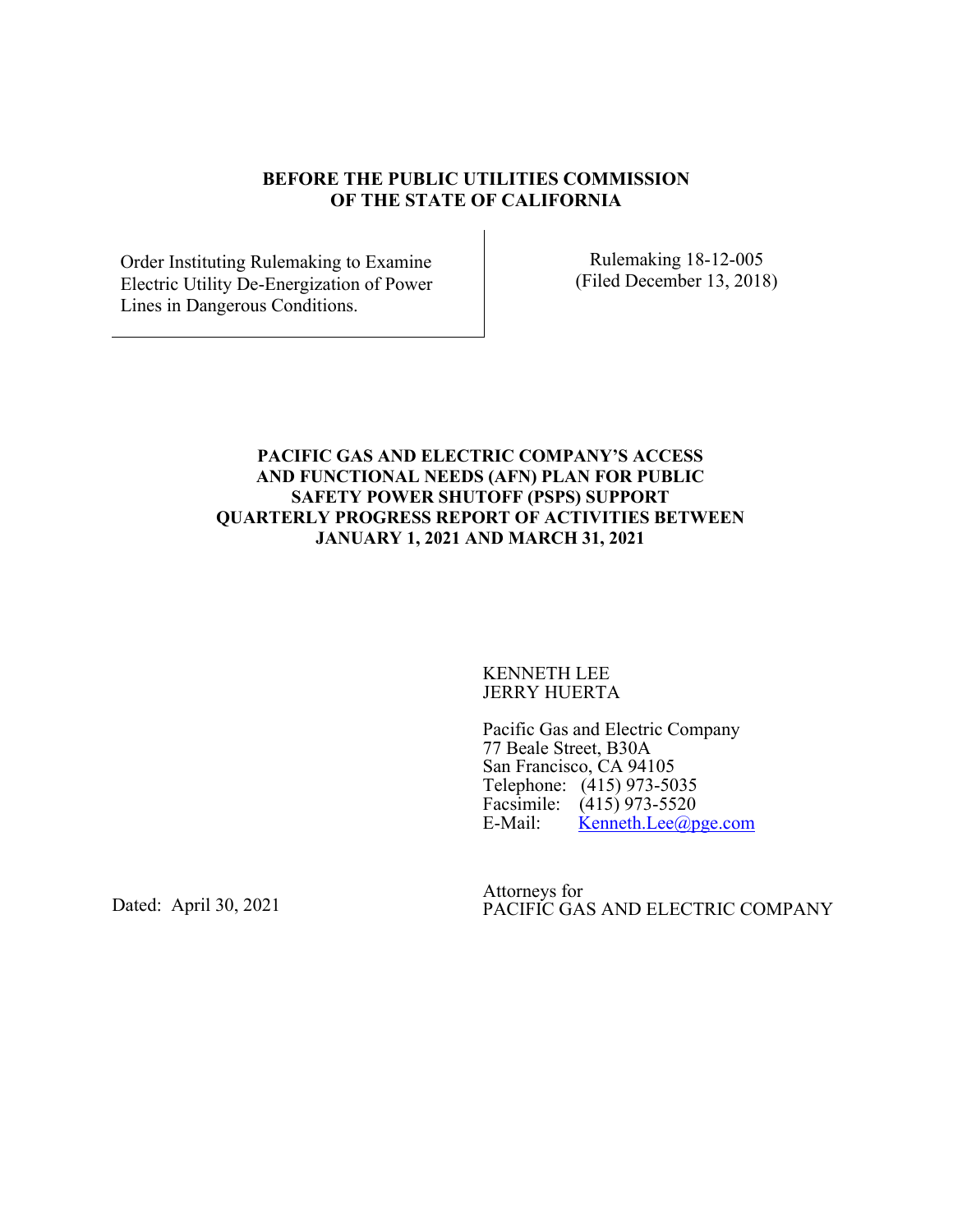#### **BEFORE THE PUBLIC UTILITIES COMMISSION OF THE STATE OF CALIFORNIA**

Order Instituting Rulemaking to Examine Electric Utility De-Energization of Power Lines in Dangerous Conditions.

Rulemaking 18-12-005 (Filed December 13, 2018)

#### **PACIFIC GAS AND ELECTRIC COMPANY'S ACCESS AND FUNCTIONAL NEEDS (AFN) PLAN FOR PUBLIC SAFETY POWER SHUTOFF (PSPS) SUPPORT QUARTERLY PROGRESS REPORT OF ACTIVITIES BETWEEN JANUARY 1, 2021 AND MARCH 31, 2021**

KENNETH LEE JERRY HUERTA

Pacific Gas and Electric Company 77 Beale Street, B30A San Francisco, CA 94105 Telephone: (415) 973-5035 Facsimile:  $(415)$  973-5520<br>E-Mail: Kenneth.Lee@p  $\text{Kenneth.}$ Lee $\textcircled{a}$ pge.com

Dated: April 30, 2021

Attorneys for PACIFIC GAS AND ELECTRIC COMPANY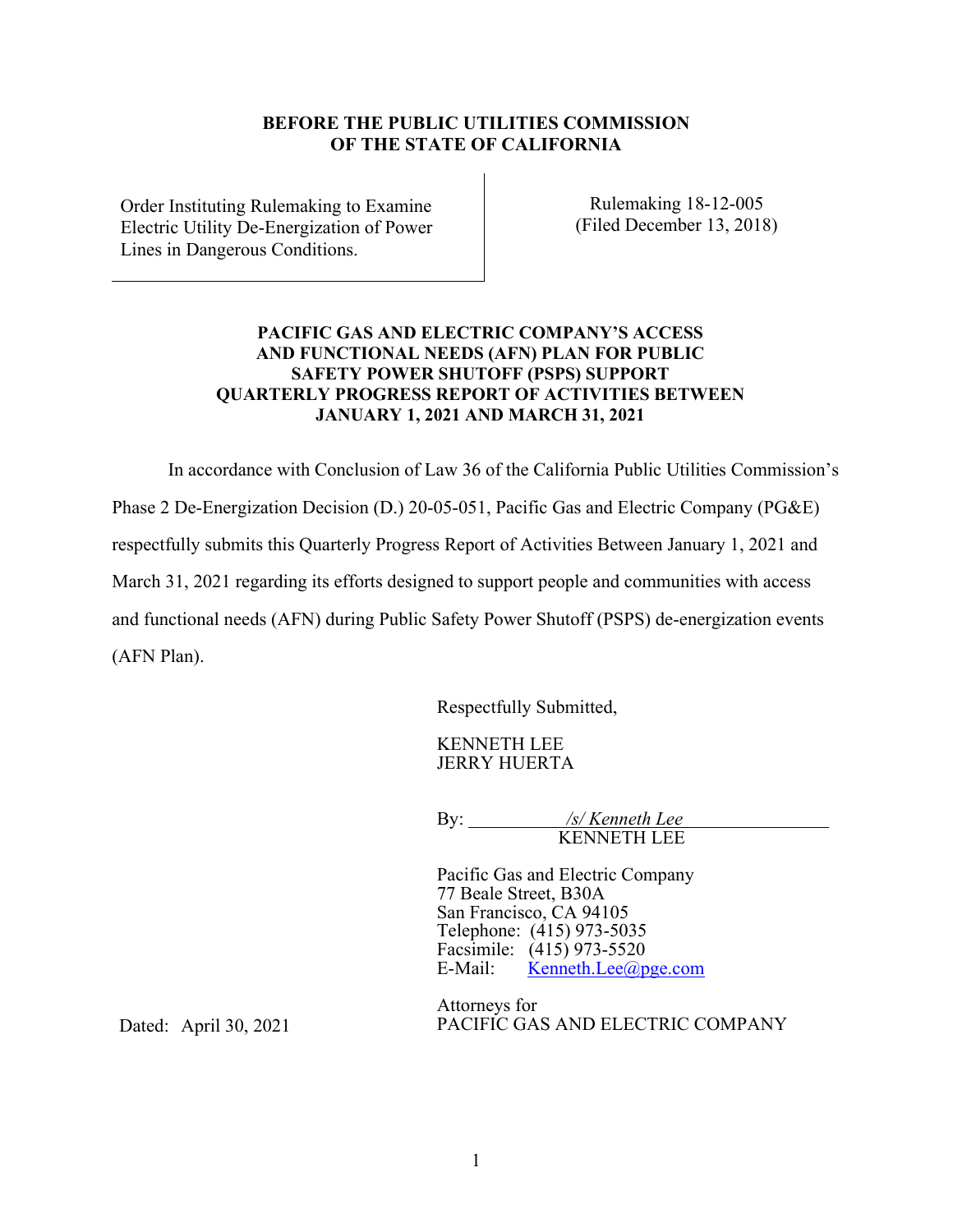#### **BEFORE THE PUBLIC UTILITIES COMMISSION OF THE STATE OF CALIFORNIA**

Order Instituting Rulemaking to Examine Electric Utility De-Energization of Power Lines in Dangerous Conditions.

Rulemaking 18-12-005 (Filed December 13, 2018)

### **PACIFIC GAS AND ELECTRIC COMPANY'S ACCESS AND FUNCTIONAL NEEDS (AFN) PLAN FOR PUBLIC SAFETY POWER SHUTOFF (PSPS) SUPPORT QUARTERLY PROGRESS REPORT OF ACTIVITIES BETWEEN JANUARY 1, 2021 AND MARCH 31, 2021**

In accordance with Conclusion of Law 36 of the California Public Utilities Commission's

Phase 2 De-Energization Decision (D.) 20-05-051, Pacific Gas and Electric Company (PG&E)

respectfully submits this Quarterly Progress Report of Activities Between January 1, 2021 and

March 31, 2021 regarding its efforts designed to support people and communities with access

and functional needs (AFN) during Public Safety Power Shutoff (PSPS) de-energization events (AFN Plan).

Respectfully Submitted,

KENNETH LEE JERRY HUERTA

By: */s/ Kenneth Lee*  KENNETH LEE

Pacific Gas and Electric Company 77 Beale Street, B30A San Francisco, CA 94105 Telephone: (415) 973-5035 Facsimile:  $(415)$  973-5520<br>E-Mail: Kenneth.Lee@p  $\text{Kenneth.}$ Lee $\textcircled{a}$ pge.com

Attorneys for PACIFIC GAS AND ELECTRIC COMPANY

Dated: April 30, 2021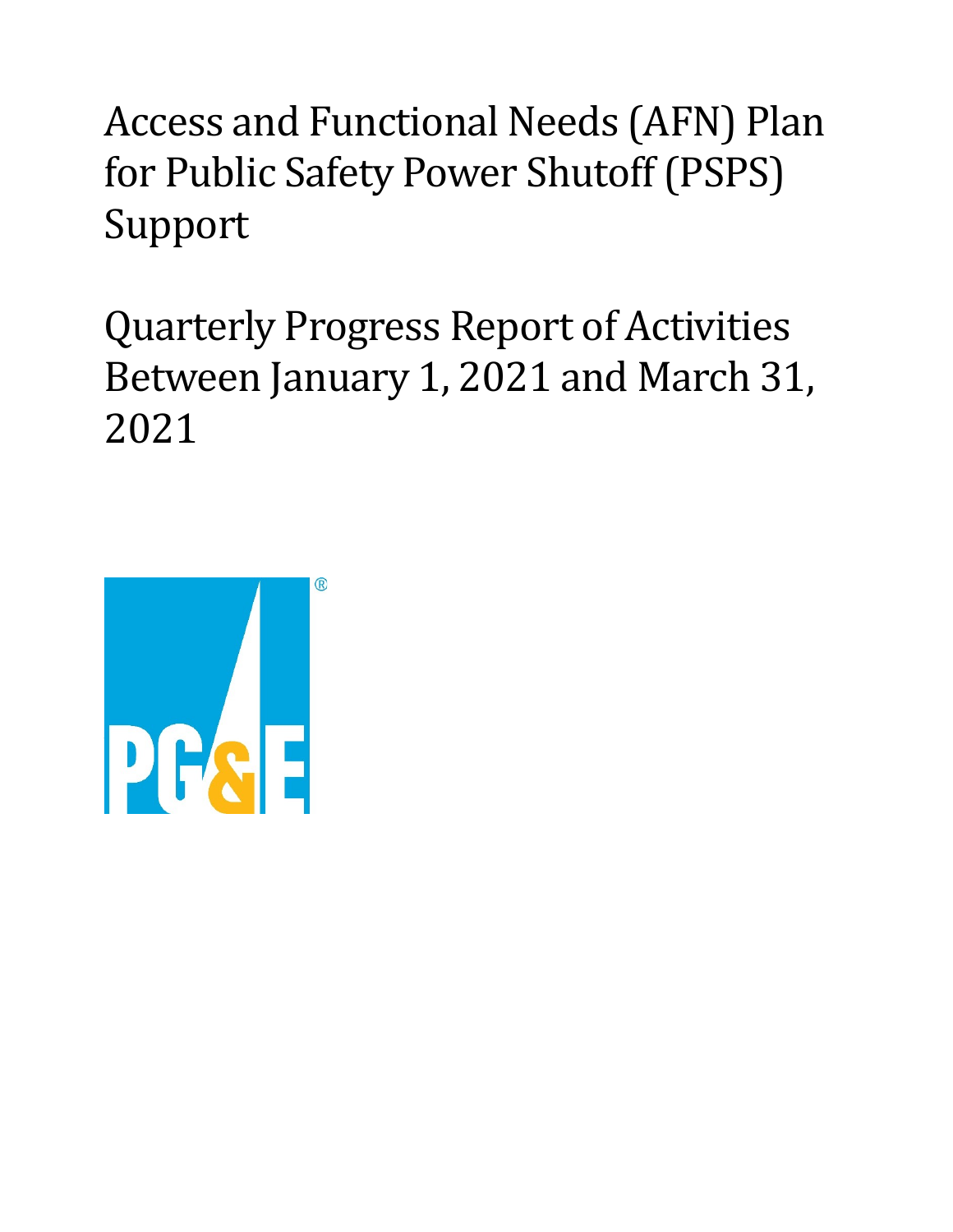Access and Functional Needs (AFN) Plan for Public Safety Power Shutoff (PSPS) Support

Quarterly Progress Report of Activities Between January 1, 2021 and March 31, 2021

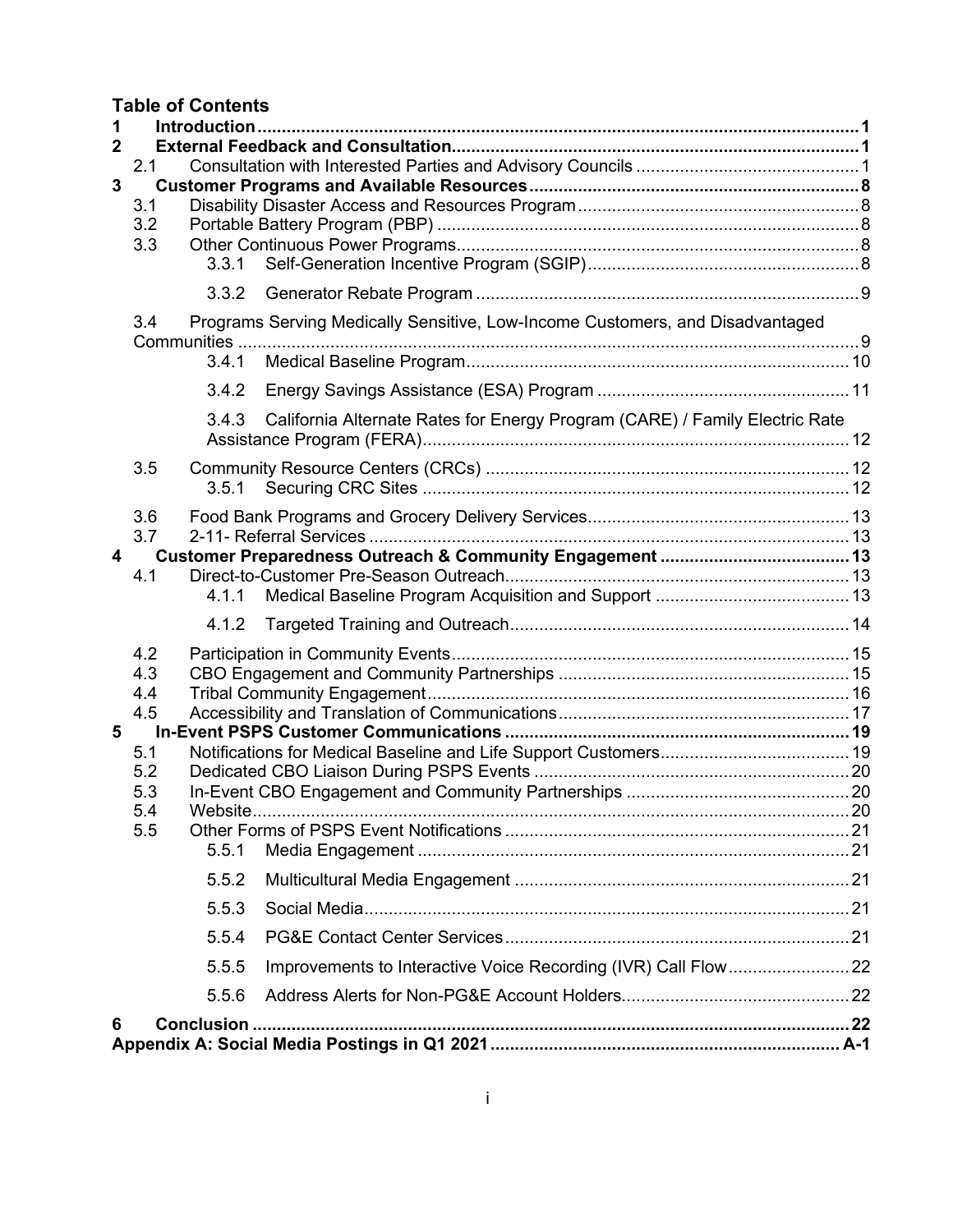**Table of Contents**

| 1<br>$\mathbf{2}$       |            |          |                                                                               |  |  |  |  |
|-------------------------|------------|----------|-------------------------------------------------------------------------------|--|--|--|--|
|                         | 2.1        |          |                                                                               |  |  |  |  |
| $\overline{3}$          |            |          |                                                                               |  |  |  |  |
|                         | 3.1        |          |                                                                               |  |  |  |  |
|                         | 3.2        |          |                                                                               |  |  |  |  |
|                         | 3.3        | 3.3.1    |                                                                               |  |  |  |  |
|                         |            | 3.3.2    |                                                                               |  |  |  |  |
|                         | 3.4        |          | Programs Serving Medically Sensitive, Low-Income Customers, and Disadvantaged |  |  |  |  |
|                         |            |          |                                                                               |  |  |  |  |
|                         |            | 3.4.1    |                                                                               |  |  |  |  |
|                         |            | 3.4.2    |                                                                               |  |  |  |  |
|                         |            | 3.4.3    | California Alternate Rates for Energy Program (CARE) / Family Electric Rate   |  |  |  |  |
|                         | 3.5        |          |                                                                               |  |  |  |  |
|                         |            | 3.5.1    |                                                                               |  |  |  |  |
|                         | 3.6        |          |                                                                               |  |  |  |  |
|                         | 3.7        |          |                                                                               |  |  |  |  |
| $\overline{\mathbf{4}}$ | 4.1        |          |                                                                               |  |  |  |  |
|                         |            | 4.1.1    |                                                                               |  |  |  |  |
|                         |            | 4.1.2    |                                                                               |  |  |  |  |
|                         | 4.2        |          |                                                                               |  |  |  |  |
|                         | 4.3        |          |                                                                               |  |  |  |  |
|                         | 4.4<br>4.5 |          |                                                                               |  |  |  |  |
| 5                       |            |          |                                                                               |  |  |  |  |
|                         | 5.1        |          |                                                                               |  |  |  |  |
|                         | 5.2        |          |                                                                               |  |  |  |  |
|                         | 5.3        |          |                                                                               |  |  |  |  |
|                         | 5.4<br>5.5 | Website. |                                                                               |  |  |  |  |
|                         |            | 5.5.1    |                                                                               |  |  |  |  |
|                         |            | 5.5.2    |                                                                               |  |  |  |  |
|                         |            | 5.5.3    |                                                                               |  |  |  |  |
|                         |            | 5.5.4    |                                                                               |  |  |  |  |
|                         |            | 5.5.5    |                                                                               |  |  |  |  |
|                         |            | 5.5.6    |                                                                               |  |  |  |  |
| 6                       |            |          |                                                                               |  |  |  |  |
|                         |            |          |                                                                               |  |  |  |  |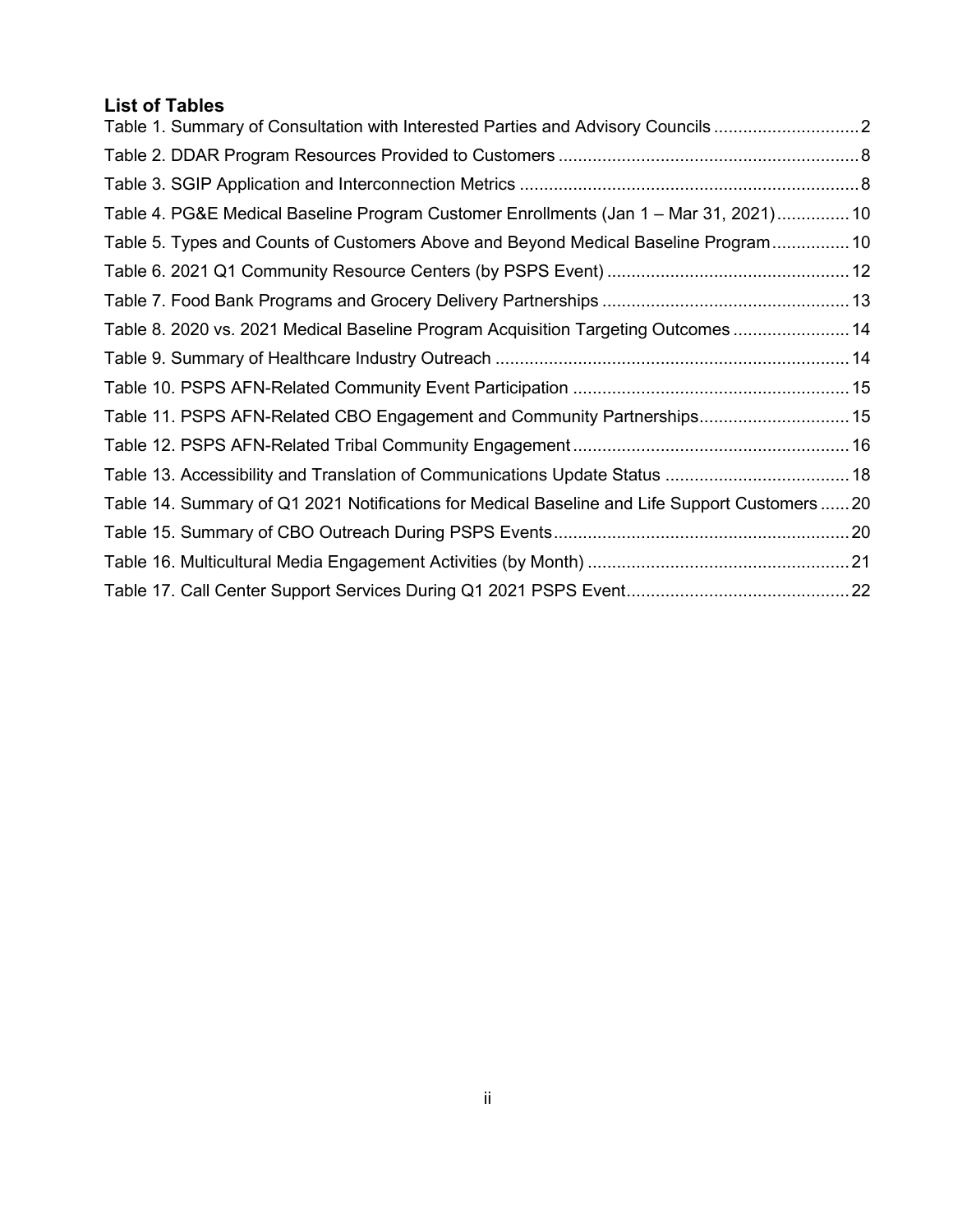# **List of Tables**

| Table 1. Summary of Consultation with Interested Parties and Advisory Councils 2               |  |
|------------------------------------------------------------------------------------------------|--|
|                                                                                                |  |
|                                                                                                |  |
| Table 4. PG&E Medical Baseline Program Customer Enrollments (Jan 1 - Mar 31, 2021) 10          |  |
| Table 5. Types and Counts of Customers Above and Beyond Medical Baseline Program 10            |  |
|                                                                                                |  |
|                                                                                                |  |
| Table 8. 2020 vs. 2021 Medical Baseline Program Acquisition Targeting Outcomes  14             |  |
|                                                                                                |  |
|                                                                                                |  |
| Table 11. PSPS AFN-Related CBO Engagement and Community Partnerships 15                        |  |
|                                                                                                |  |
|                                                                                                |  |
| Table 14. Summary of Q1 2021 Notifications for Medical Baseline and Life Support Customers  20 |  |
|                                                                                                |  |
|                                                                                                |  |
|                                                                                                |  |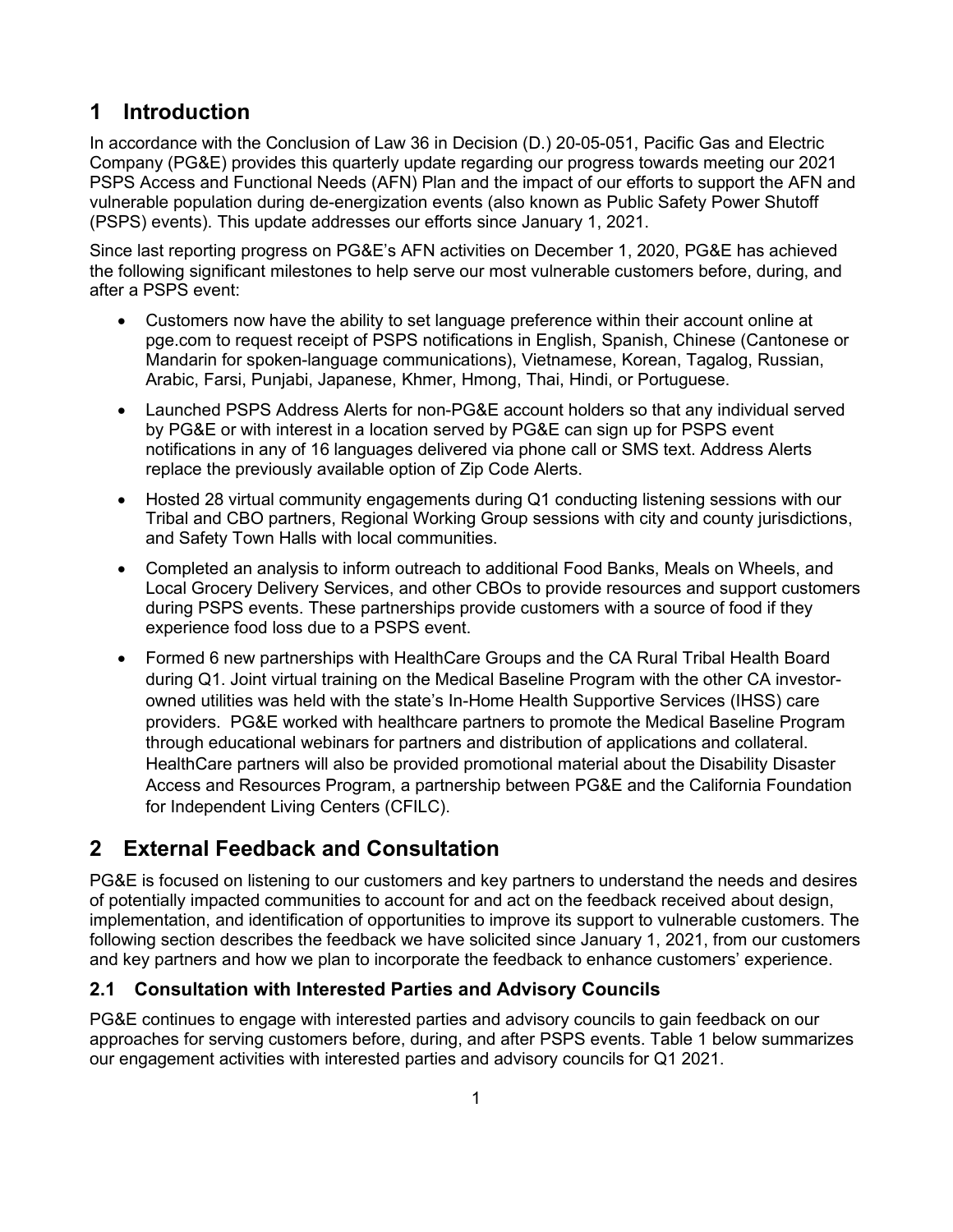# <span id="page-5-0"></span>**1 Introduction**

In accordance with the Conclusion of Law 36 in Decision (D.) 20-05-051, Pacific Gas and Electric Company (PG&E) provides this quarterly update regarding our progress towards meeting our 2021 PSPS Access and Functional Needs (AFN) Plan and the impact of our efforts to support the AFN and vulnerable population during de-energization events (also known as Public Safety Power Shutoff (PSPS) events). This update addresses our efforts since January 1, 2021.

Since last reporting progress on PG&E's AFN activities on December 1, 2020, PG&E has achieved the following significant milestones to help serve our most vulnerable customers before, during, and after a PSPS event:

- Customers now have the ability to set language preference within their account online at pge.com to request receipt of PSPS notifications in English, Spanish, Chinese (Cantonese or Mandarin for spoken-language communications), Vietnamese, Korean, Tagalog, Russian, Arabic, Farsi, Punjabi, Japanese, Khmer, Hmong, Thai, Hindi, or Portuguese.
- Launched PSPS Address Alerts for non-PG&E account holders so that any individual served by PG&E or with interest in a location served by PG&E can sign up for PSPS event notifications in any of 16 languages delivered via phone call or SMS text. Address Alerts replace the previously available option of Zip Code Alerts.
- Hosted 28 virtual community engagements during Q1 conducting listening sessions with our Tribal and CBO partners, Regional Working Group sessions with city and county jurisdictions, and Safety Town Halls with local communities.
- Completed an analysis to inform outreach to additional Food Banks, Meals on Wheels, and Local Grocery Delivery Services, and other CBOs to provide resources and support customers during PSPS events. These partnerships provide customers with a source of food if they experience food loss due to a PSPS event.
- Formed 6 new partnerships with HealthCare Groups and the CA Rural Tribal Health Board during Q1. Joint virtual training on the Medical Baseline Program with the other CA investorowned utilities was held with the state's In-Home Health Supportive Services (IHSS) care providers. PG&E worked with healthcare partners to promote the Medical Baseline Program through educational webinars for partners and distribution of applications and collateral. HealthCare partners will also be provided promotional material about the Disability Disaster Access and Resources Program, a partnership between PG&E and the California Foundation for Independent Living Centers (CFILC).

# <span id="page-5-1"></span>**2 External Feedback and Consultation**

PG&E is focused on listening to our customers and key partners to understand the needs and desires of potentially impacted communities to account for and act on the feedback received about design, implementation, and identification of opportunities to improve its support to vulnerable customers. The following section describes the feedback we have solicited since January 1, 2021, from our customers and key partners and how we plan to incorporate the feedback to enhance customers' experience.

## <span id="page-5-2"></span>**2.1 Consultation with Interested Parties and Advisory Councils**

PG&E continues to engage with interested parties and advisory councils to gain feedback on our approaches for serving customers before, during, and after PSPS events. [Table 1](#page-6-0) [below](#page-6-0) summarizes our engagement activities with interested parties and advisory councils for Q1 2021.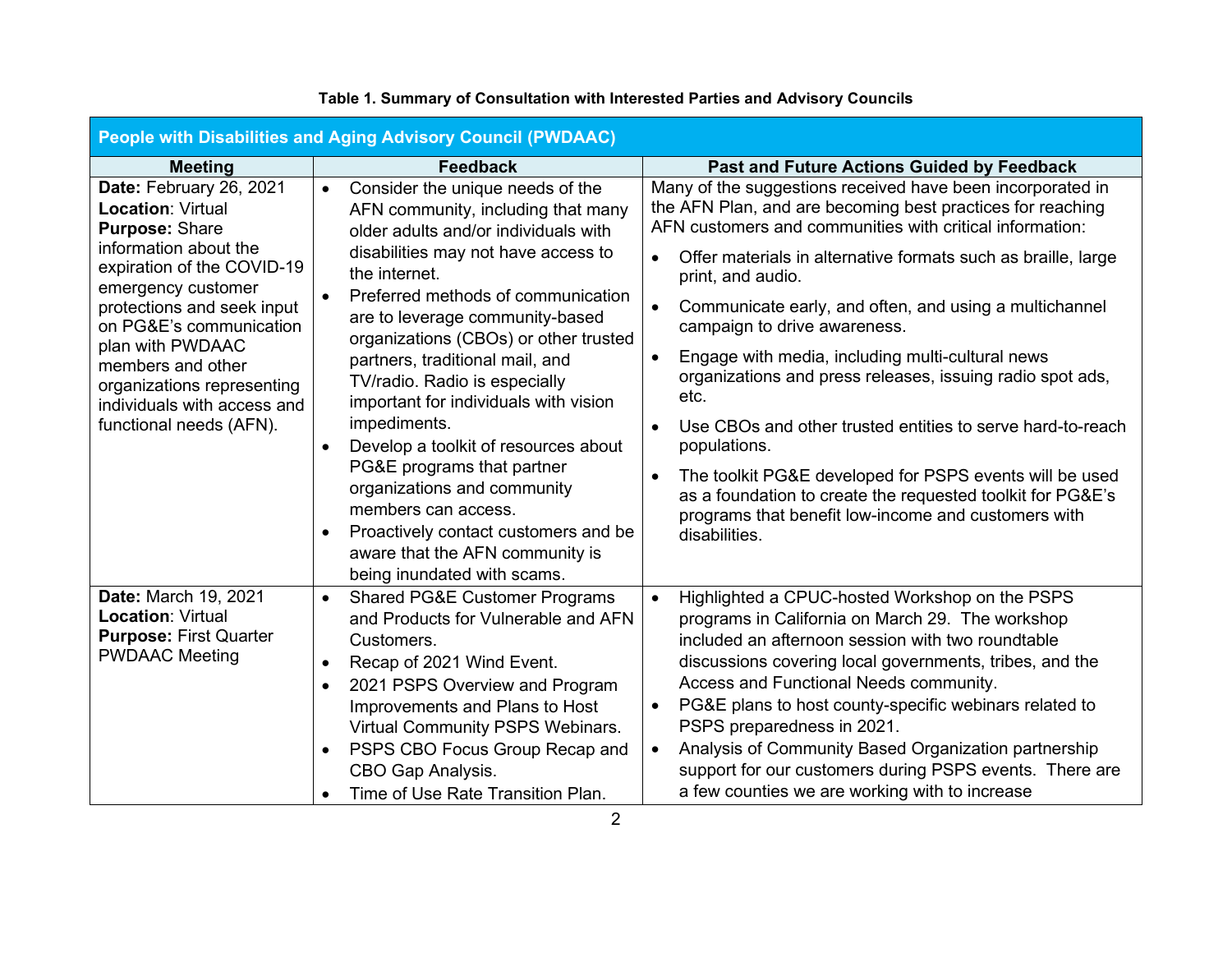<span id="page-6-0"></span>

| People with Disabilities and Aging Advisory Council (PWDAAC)                                               |                                                                                                                                                                                                                                                                                                                                                                                                                                                                                                                                                                                                                                                                                                                                                                                                                                                                                                |                                            |  |  |  |  |  |
|------------------------------------------------------------------------------------------------------------|------------------------------------------------------------------------------------------------------------------------------------------------------------------------------------------------------------------------------------------------------------------------------------------------------------------------------------------------------------------------------------------------------------------------------------------------------------------------------------------------------------------------------------------------------------------------------------------------------------------------------------------------------------------------------------------------------------------------------------------------------------------------------------------------------------------------------------------------------------------------------------------------|--------------------------------------------|--|--|--|--|--|
| <b>Meeting</b>                                                                                             | <b>Feedback</b>                                                                                                                                                                                                                                                                                                                                                                                                                                                                                                                                                                                                                                                                                                                                                                                                                                                                                | Past and Future Actions Guided by Feedback |  |  |  |  |  |
| Date: February 26, 2021<br><b>Location: Virtual</b><br><b>Purpose: Share</b>                               | Many of the suggestions received have been incorporated in<br>Consider the unique needs of the<br>$\bullet$<br>the AFN Plan, and are becoming best practices for reaching<br>AFN community, including that many<br>AFN customers and communities with critical information:<br>older adults and/or individuals with                                                                                                                                                                                                                                                                                                                                                                                                                                                                                                                                                                            |                                            |  |  |  |  |  |
| information about the<br>expiration of the COVID-19<br>emergency customer                                  | disabilities may not have access to<br>Offer materials in alternative formats such as braille, large<br>$\bullet$<br>the internet.<br>print, and audio.                                                                                                                                                                                                                                                                                                                                                                                                                                                                                                                                                                                                                                                                                                                                        |                                            |  |  |  |  |  |
| protections and seek input<br>on PG&E's communication<br>plan with PWDAAC                                  | Preferred methods of communication<br>Communicate early, and often, and using a multichannel<br>are to leverage community-based<br>campaign to drive awareness.<br>organizations (CBOs) or other trusted                                                                                                                                                                                                                                                                                                                                                                                                                                                                                                                                                                                                                                                                                       |                                            |  |  |  |  |  |
| members and other<br>organizations representing<br>individuals with access and                             | Engage with media, including multi-cultural news<br>$\bullet$<br>partners, traditional mail, and<br>organizations and press releases, issuing radio spot ads,<br>TV/radio. Radio is especially<br>etc.<br>important for individuals with vision                                                                                                                                                                                                                                                                                                                                                                                                                                                                                                                                                                                                                                                |                                            |  |  |  |  |  |
| functional needs (AFN).                                                                                    | impediments.<br>Use CBOs and other trusted entities to serve hard-to-reach<br>$\bullet$<br>Develop a toolkit of resources about<br>populations.<br>$\bullet$                                                                                                                                                                                                                                                                                                                                                                                                                                                                                                                                                                                                                                                                                                                                   |                                            |  |  |  |  |  |
|                                                                                                            | PG&E programs that partner<br>The toolkit PG&E developed for PSPS events will be used<br>organizations and community<br>as a foundation to create the requested toolkit for PG&E's<br>members can access.<br>programs that benefit low-income and customers with<br>Proactively contact customers and be<br>disabilities.<br>aware that the AFN community is                                                                                                                                                                                                                                                                                                                                                                                                                                                                                                                                   |                                            |  |  |  |  |  |
| Date: March 19, 2021<br><b>Location: Virtual</b><br><b>Purpose: First Quarter</b><br><b>PWDAAC Meeting</b> | being inundated with scams.<br><b>Shared PG&amp;E Customer Programs</b><br>Highlighted a CPUC-hosted Workshop on the PSPS<br>$\bullet$<br>$\bullet$<br>and Products for Vulnerable and AFN<br>programs in California on March 29. The workshop<br>included an afternoon session with two roundtable<br>Customers.<br>discussions covering local governments, tribes, and the<br>Recap of 2021 Wind Event.<br>$\bullet$<br>Access and Functional Needs community.<br>2021 PSPS Overview and Program<br>$\bullet$<br>PG&E plans to host county-specific webinars related to<br>Improvements and Plans to Host<br>$\bullet$<br>PSPS preparedness in 2021.<br>Virtual Community PSPS Webinars.<br>Analysis of Community Based Organization partnership<br>PSPS CBO Focus Group Recap and<br>$\bullet$<br>$\bullet$<br>support for our customers during PSPS events. There are<br>CBO Gap Analysis. |                                            |  |  |  |  |  |
|                                                                                                            | a few counties we are working with to increase<br>Time of Use Rate Transition Plan.<br>$\bullet$                                                                                                                                                                                                                                                                                                                                                                                                                                                                                                                                                                                                                                                                                                                                                                                               |                                            |  |  |  |  |  |

# **Table 1. Summary of Consultation with Interested Parties and Advisory Councils**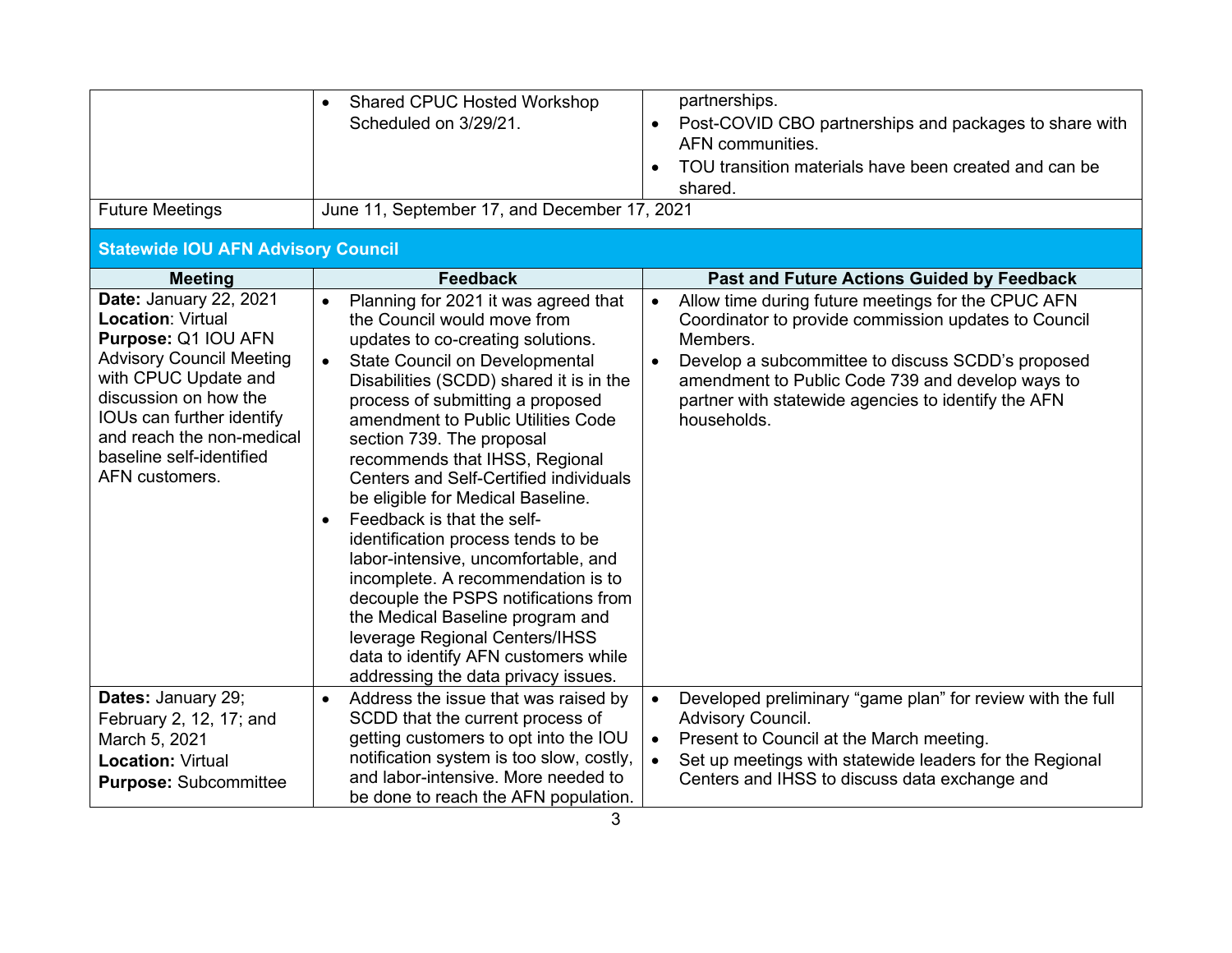| <b>Future Meetings</b>                                                                                                                                                                                                                                                | <b>Shared CPUC Hosted Workshop</b><br>$\bullet$<br>Scheduled on 3/29/21.<br>June 11, September 17, and December 17, 2021                                                                                                                                                                                                                                                                                                                                                                                                                                                                                                                                                                                                                                                                     | partnerships.<br>Post-COVID CBO partnerships and packages to share with<br>AFN communities.<br>TOU transition materials have been created and can be<br>$\bullet$<br>shared.                                                                                                                                                    |
|-----------------------------------------------------------------------------------------------------------------------------------------------------------------------------------------------------------------------------------------------------------------------|----------------------------------------------------------------------------------------------------------------------------------------------------------------------------------------------------------------------------------------------------------------------------------------------------------------------------------------------------------------------------------------------------------------------------------------------------------------------------------------------------------------------------------------------------------------------------------------------------------------------------------------------------------------------------------------------------------------------------------------------------------------------------------------------|---------------------------------------------------------------------------------------------------------------------------------------------------------------------------------------------------------------------------------------------------------------------------------------------------------------------------------|
| <b>Statewide IOU AFN Advisory Council</b>                                                                                                                                                                                                                             |                                                                                                                                                                                                                                                                                                                                                                                                                                                                                                                                                                                                                                                                                                                                                                                              |                                                                                                                                                                                                                                                                                                                                 |
| <b>Meeting</b>                                                                                                                                                                                                                                                        | <b>Feedback</b>                                                                                                                                                                                                                                                                                                                                                                                                                                                                                                                                                                                                                                                                                                                                                                              | <b>Past and Future Actions Guided by Feedback</b>                                                                                                                                                                                                                                                                               |
| Date: January 22, 2021<br><b>Location: Virtual</b><br>Purpose: Q1 IOU AFN<br><b>Advisory Council Meeting</b><br>with CPUC Update and<br>discussion on how the<br>IOUs can further identify<br>and reach the non-medical<br>baseline self-identified<br>AFN customers. | Planning for 2021 it was agreed that<br>$\bullet$<br>the Council would move from<br>updates to co-creating solutions.<br><b>State Council on Developmental</b><br>$\bullet$<br>Disabilities (SCDD) shared it is in the<br>process of submitting a proposed<br>amendment to Public Utilities Code<br>section 739. The proposal<br>recommends that IHSS, Regional<br>Centers and Self-Certified individuals<br>be eligible for Medical Baseline.<br>Feedback is that the self-<br>identification process tends to be<br>labor-intensive, uncomfortable, and<br>incomplete. A recommendation is to<br>decouple the PSPS notifications from<br>the Medical Baseline program and<br>leverage Regional Centers/IHSS<br>data to identify AFN customers while<br>addressing the data privacy issues. | Allow time during future meetings for the CPUC AFN<br>$\bullet$<br>Coordinator to provide commission updates to Council<br>Members.<br>Develop a subcommittee to discuss SCDD's proposed<br>$\bullet$<br>amendment to Public Code 739 and develop ways to<br>partner with statewide agencies to identify the AFN<br>households. |
| Dates: January 29;                                                                                                                                                                                                                                                    | Address the issue that was raised by<br>$\bullet$                                                                                                                                                                                                                                                                                                                                                                                                                                                                                                                                                                                                                                                                                                                                            | Developed preliminary "game plan" for review with the full<br>$\bullet$                                                                                                                                                                                                                                                         |
| February 2, 12, 17; and                                                                                                                                                                                                                                               | SCDD that the current process of                                                                                                                                                                                                                                                                                                                                                                                                                                                                                                                                                                                                                                                                                                                                                             | Advisory Council.                                                                                                                                                                                                                                                                                                               |
| March 5, 2021                                                                                                                                                                                                                                                         | getting customers to opt into the IOU                                                                                                                                                                                                                                                                                                                                                                                                                                                                                                                                                                                                                                                                                                                                                        | Present to Council at the March meeting.<br>$\bullet$                                                                                                                                                                                                                                                                           |
| <b>Location: Virtual</b><br><b>Purpose: Subcommittee</b>                                                                                                                                                                                                              | notification system is too slow, costly,<br>and labor-intensive. More needed to<br>be done to reach the AFN population.                                                                                                                                                                                                                                                                                                                                                                                                                                                                                                                                                                                                                                                                      | Set up meetings with statewide leaders for the Regional<br>$\bullet$<br>Centers and IHSS to discuss data exchange and                                                                                                                                                                                                           |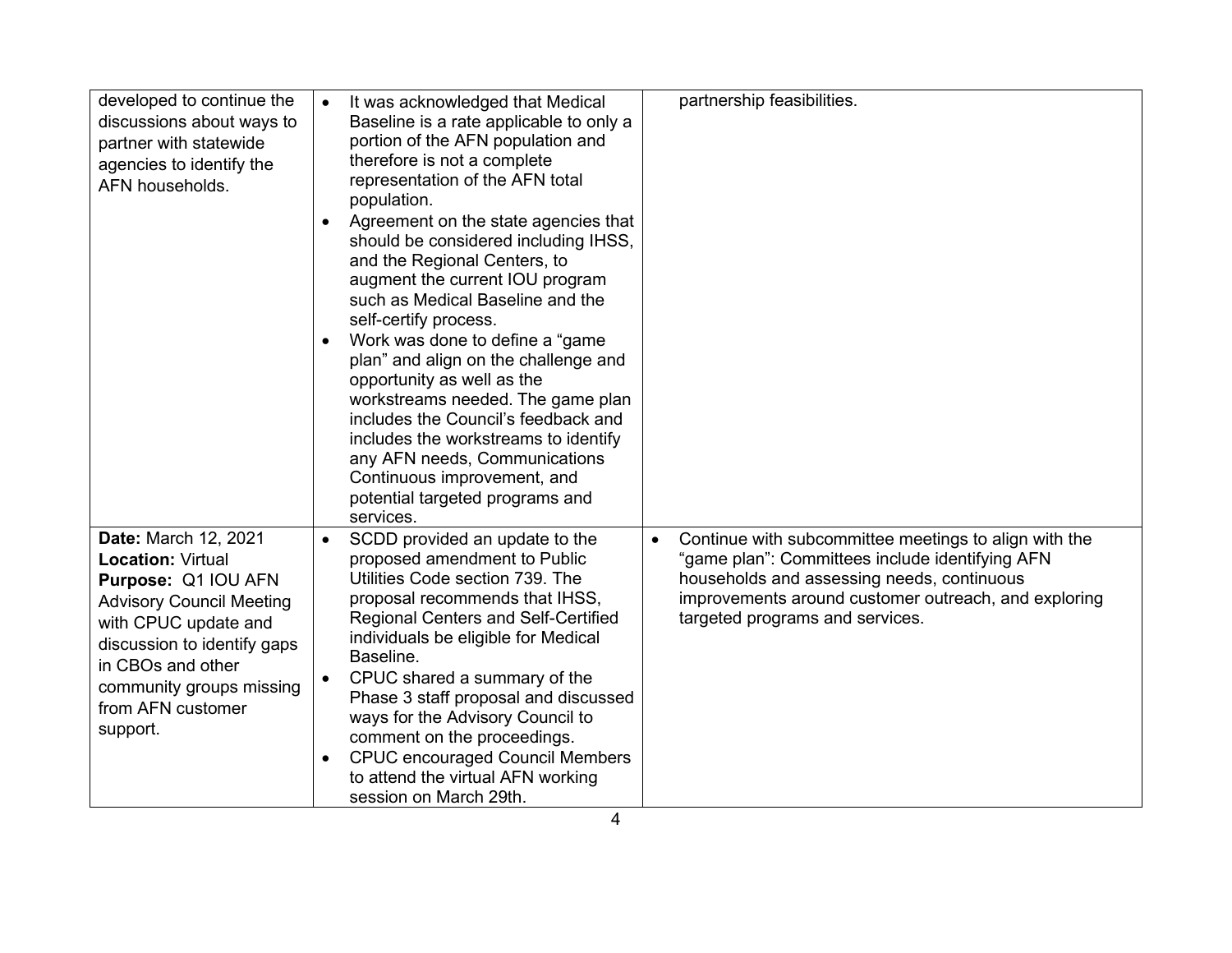| developed to continue the<br>discussions about ways to<br>partner with statewide<br>agencies to identify the<br>AFN households.                                                                                                                     | It was acknowledged that Medical<br>Baseline is a rate applicable to only a<br>portion of the AFN population and<br>therefore is not a complete<br>representation of the AFN total<br>population.<br>Agreement on the state agencies that<br>$\bullet$<br>should be considered including IHSS,<br>and the Regional Centers, to<br>augment the current IOU program<br>such as Medical Baseline and the<br>self-certify process.<br>Work was done to define a "game"<br>$\bullet$<br>plan" and align on the challenge and<br>opportunity as well as the<br>workstreams needed. The game plan<br>includes the Council's feedback and<br>includes the workstreams to identify<br>any AFN needs, Communications<br>Continuous improvement, and<br>potential targeted programs and | partnership feasibilities.                                                                                                                                                                                                                                     |
|-----------------------------------------------------------------------------------------------------------------------------------------------------------------------------------------------------------------------------------------------------|------------------------------------------------------------------------------------------------------------------------------------------------------------------------------------------------------------------------------------------------------------------------------------------------------------------------------------------------------------------------------------------------------------------------------------------------------------------------------------------------------------------------------------------------------------------------------------------------------------------------------------------------------------------------------------------------------------------------------------------------------------------------------|----------------------------------------------------------------------------------------------------------------------------------------------------------------------------------------------------------------------------------------------------------------|
| Date: March 12, 2021<br><b>Location: Virtual</b><br>Purpose: Q1 IOU AFN<br><b>Advisory Council Meeting</b><br>with CPUC update and<br>discussion to identify gaps<br>in CBOs and other<br>community groups missing<br>from AFN customer<br>support. | services.<br>SCDD provided an update to the<br>$\bullet$<br>proposed amendment to Public<br>Utilities Code section 739. The<br>proposal recommends that IHSS,<br><b>Regional Centers and Self-Certified</b><br>individuals be eligible for Medical<br>Baseline.<br>CPUC shared a summary of the<br>Phase 3 staff proposal and discussed<br>ways for the Advisory Council to<br>comment on the proceedings.<br><b>CPUC encouraged Council Members</b><br>$\bullet$<br>to attend the virtual AFN working<br>session on March 29th.                                                                                                                                                                                                                                             | Continue with subcommittee meetings to align with the<br>$\bullet$<br>"game plan": Committees include identifying AFN<br>households and assessing needs, continuous<br>improvements around customer outreach, and exploring<br>targeted programs and services. |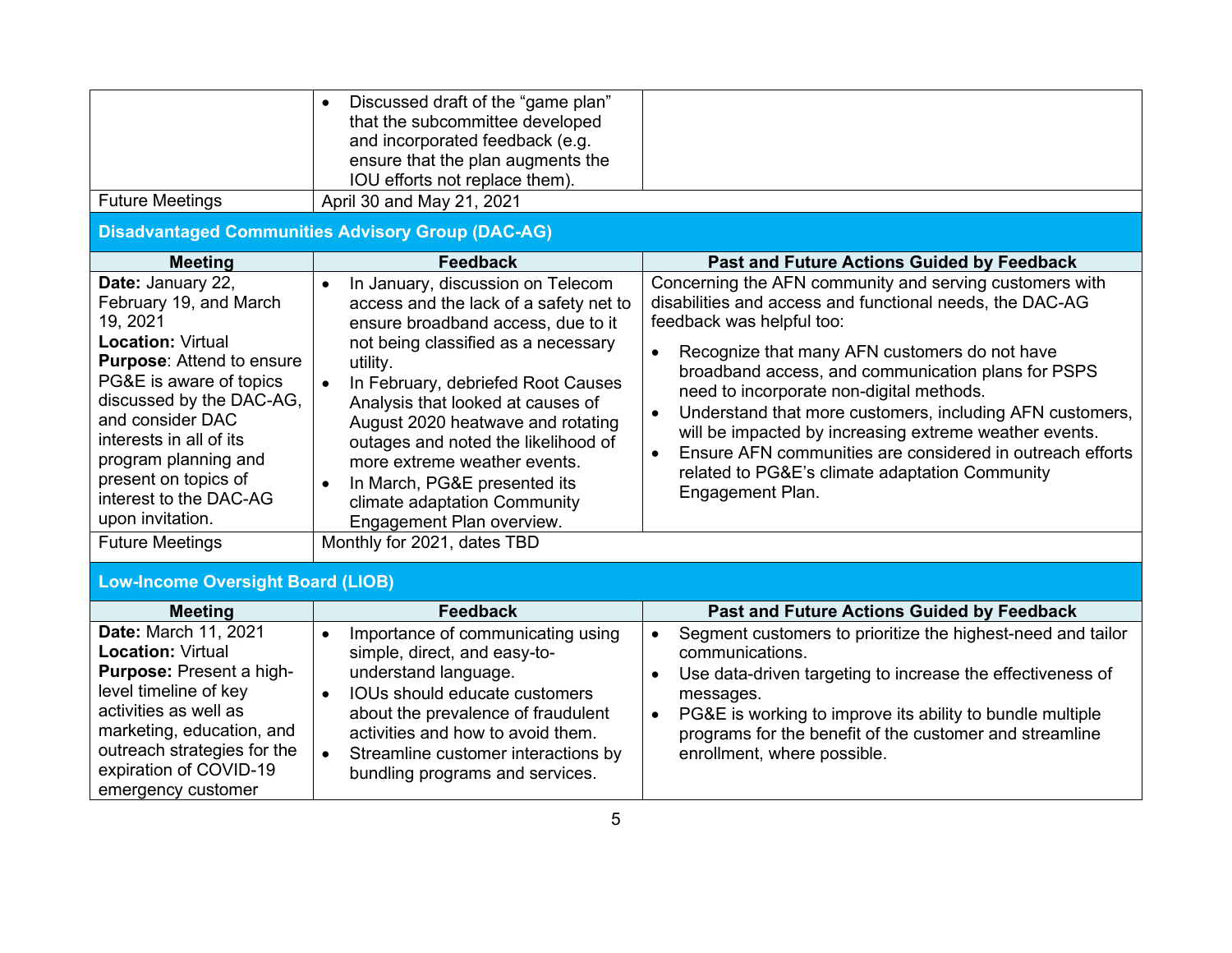|                                                                                                                                                                                                                                                                                                                                                | Discussed draft of the "game plan"<br>that the subcommittee developed<br>and incorporated feedback (e.g.<br>ensure that the plan augments the<br>IOU efforts not replace them).                                                                                                                                                                                                                                                                                                                                   |                                                                                                                                                                                                                                                                                                                                                                                                                                                                                                                                                                                        |  |  |
|------------------------------------------------------------------------------------------------------------------------------------------------------------------------------------------------------------------------------------------------------------------------------------------------------------------------------------------------|-------------------------------------------------------------------------------------------------------------------------------------------------------------------------------------------------------------------------------------------------------------------------------------------------------------------------------------------------------------------------------------------------------------------------------------------------------------------------------------------------------------------|----------------------------------------------------------------------------------------------------------------------------------------------------------------------------------------------------------------------------------------------------------------------------------------------------------------------------------------------------------------------------------------------------------------------------------------------------------------------------------------------------------------------------------------------------------------------------------------|--|--|
| <b>Future Meetings</b>                                                                                                                                                                                                                                                                                                                         | April 30 and May 21, 2021                                                                                                                                                                                                                                                                                                                                                                                                                                                                                         |                                                                                                                                                                                                                                                                                                                                                                                                                                                                                                                                                                                        |  |  |
|                                                                                                                                                                                                                                                                                                                                                | <b>Disadvantaged Communities Advisory Group (DAC-AG)</b>                                                                                                                                                                                                                                                                                                                                                                                                                                                          |                                                                                                                                                                                                                                                                                                                                                                                                                                                                                                                                                                                        |  |  |
| <b>Meeting</b>                                                                                                                                                                                                                                                                                                                                 | <b>Feedback</b>                                                                                                                                                                                                                                                                                                                                                                                                                                                                                                   | <b>Past and Future Actions Guided by Feedback</b>                                                                                                                                                                                                                                                                                                                                                                                                                                                                                                                                      |  |  |
| Date: January 22,<br>February 19, and March<br>19, 2021<br><b>Location: Virtual</b><br>Purpose: Attend to ensure<br>PG&E is aware of topics<br>discussed by the DAC-AG,<br>and consider DAC<br>interests in all of its<br>program planning and<br>present on topics of<br>interest to the DAC-AG<br>upon invitation.<br><b>Future Meetings</b> | In January, discussion on Telecom<br>$\bullet$<br>access and the lack of a safety net to<br>ensure broadband access, due to it<br>not being classified as a necessary<br>utility.<br>In February, debriefed Root Causes<br>$\bullet$<br>Analysis that looked at causes of<br>August 2020 heatwave and rotating<br>outages and noted the likelihood of<br>more extreme weather events.<br>In March, PG&E presented its<br>climate adaptation Community<br>Engagement Plan overview.<br>Monthly for 2021, dates TBD | Concerning the AFN community and serving customers with<br>disabilities and access and functional needs, the DAC-AG<br>feedback was helpful too:<br>Recognize that many AFN customers do not have<br>broadband access, and communication plans for PSPS<br>need to incorporate non-digital methods.<br>Understand that more customers, including AFN customers,<br>$\bullet$<br>will be impacted by increasing extreme weather events.<br>Ensure AFN communities are considered in outreach efforts<br>$\bullet$<br>related to PG&E's climate adaptation Community<br>Engagement Plan. |  |  |
| <b>Low-Income Oversight Board (LIOB)</b>                                                                                                                                                                                                                                                                                                       |                                                                                                                                                                                                                                                                                                                                                                                                                                                                                                                   |                                                                                                                                                                                                                                                                                                                                                                                                                                                                                                                                                                                        |  |  |
| <b>Meeting</b>                                                                                                                                                                                                                                                                                                                                 | <b>Feedback</b>                                                                                                                                                                                                                                                                                                                                                                                                                                                                                                   | <b>Past and Future Actions Guided by Feedback</b>                                                                                                                                                                                                                                                                                                                                                                                                                                                                                                                                      |  |  |
| Date: March 11, 2021<br><b>Location: Virtual</b><br>Purpose: Present a high-<br>level timeline of key<br>activities as well as<br>marketing, education, and<br>outreach strategies for the<br>expiration of COVID-19<br>emergency customer                                                                                                     | Importance of communicating using<br>$\bullet$<br>simple, direct, and easy-to-<br>understand language.<br>IOUs should educate customers<br>about the prevalence of fraudulent<br>activities and how to avoid them.<br>Streamline customer interactions by<br>bundling programs and services.                                                                                                                                                                                                                      | Segment customers to prioritize the highest-need and tailor<br>$\bullet$<br>communications.<br>Use data-driven targeting to increase the effectiveness of<br>$\bullet$<br>messages.<br>PG&E is working to improve its ability to bundle multiple<br>$\bullet$<br>programs for the benefit of the customer and streamline<br>enrollment, where possible.                                                                                                                                                                                                                                |  |  |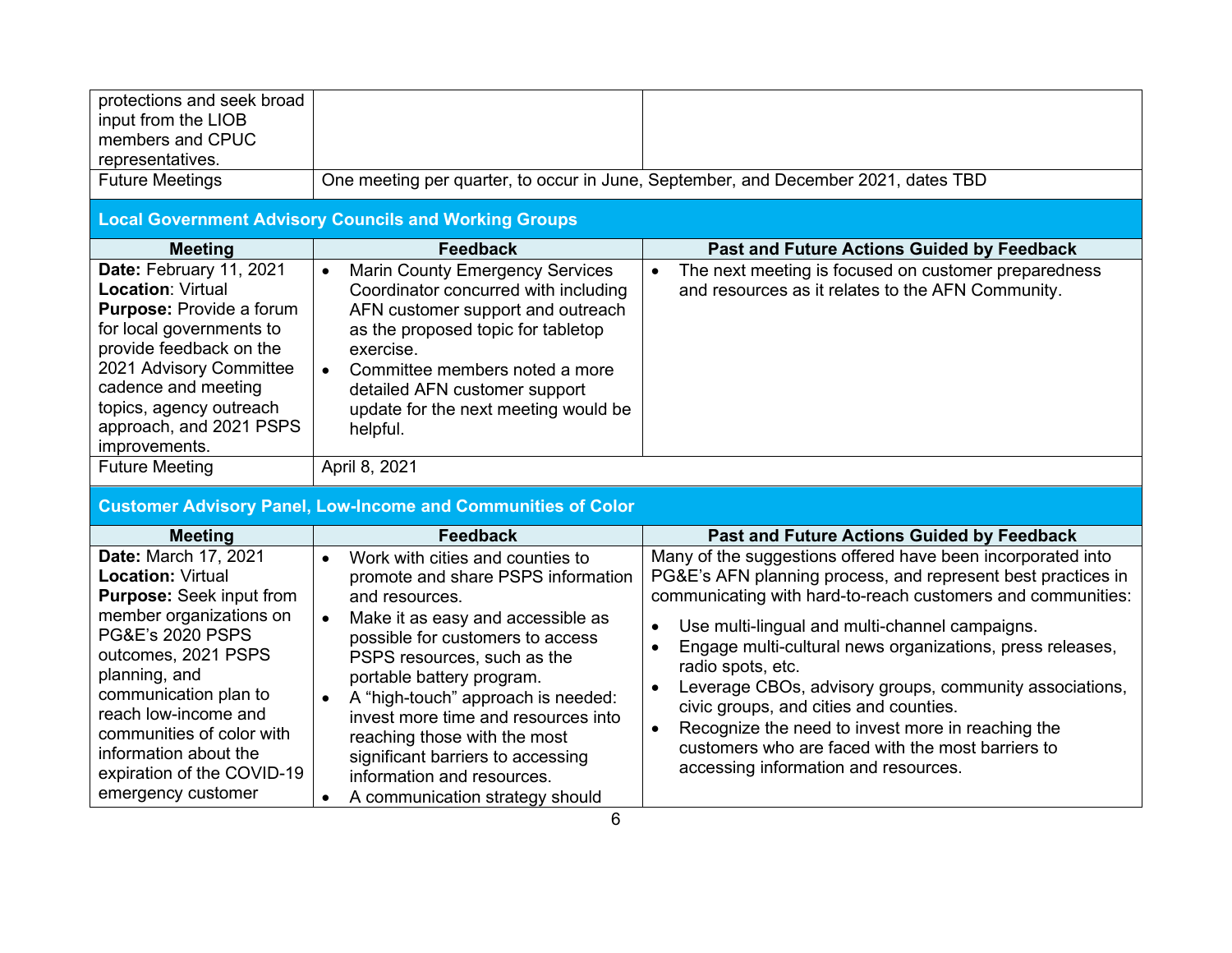| protections and seek broad<br>input from the LIOB<br>members and CPUC<br>representatives.<br><b>Future Meetings</b>                                                                                                                                                                                                                                                                                                                                                                                             | <b>Local Government Advisory Councils and Working Groups</b>                                                                                                                                                                                                                                                                                                                                                                                                                            | One meeting per quarter, to occur in June, September, and December 2021, dates TBD                                                                                                                                                                                                                                                                                                                                                                                                                                                                                                                                           |
|-----------------------------------------------------------------------------------------------------------------------------------------------------------------------------------------------------------------------------------------------------------------------------------------------------------------------------------------------------------------------------------------------------------------------------------------------------------------------------------------------------------------|-----------------------------------------------------------------------------------------------------------------------------------------------------------------------------------------------------------------------------------------------------------------------------------------------------------------------------------------------------------------------------------------------------------------------------------------------------------------------------------------|------------------------------------------------------------------------------------------------------------------------------------------------------------------------------------------------------------------------------------------------------------------------------------------------------------------------------------------------------------------------------------------------------------------------------------------------------------------------------------------------------------------------------------------------------------------------------------------------------------------------------|
| <b>Meeting</b>                                                                                                                                                                                                                                                                                                                                                                                                                                                                                                  | <b>Feedback</b>                                                                                                                                                                                                                                                                                                                                                                                                                                                                         | Past and Future Actions Guided by Feedback                                                                                                                                                                                                                                                                                                                                                                                                                                                                                                                                                                                   |
| Date: February 11, 2021                                                                                                                                                                                                                                                                                                                                                                                                                                                                                         | <b>Marin County Emergency Services</b><br>$\bullet$                                                                                                                                                                                                                                                                                                                                                                                                                                     | The next meeting is focused on customer preparedness<br>$\bullet$                                                                                                                                                                                                                                                                                                                                                                                                                                                                                                                                                            |
| <b>Location: Virtual</b><br>Coordinator concurred with including<br><b>Purpose: Provide a forum</b><br>AFN customer support and outreach<br>for local governments to<br>as the proposed topic for tabletop<br>provide feedback on the<br>exercise.<br>2021 Advisory Committee<br>Committee members noted a more<br>$\bullet$<br>cadence and meeting<br>detailed AFN customer support<br>topics, agency outreach<br>update for the next meeting would be<br>approach, and 2021 PSPS<br>helpful.<br>improvements. |                                                                                                                                                                                                                                                                                                                                                                                                                                                                                         | and resources as it relates to the AFN Community.                                                                                                                                                                                                                                                                                                                                                                                                                                                                                                                                                                            |
| <b>Future Meeting</b>                                                                                                                                                                                                                                                                                                                                                                                                                                                                                           | April 8, 2021                                                                                                                                                                                                                                                                                                                                                                                                                                                                           |                                                                                                                                                                                                                                                                                                                                                                                                                                                                                                                                                                                                                              |
|                                                                                                                                                                                                                                                                                                                                                                                                                                                                                                                 | <b>Customer Advisory Panel, Low-Income and Communities of Color</b>                                                                                                                                                                                                                                                                                                                                                                                                                     |                                                                                                                                                                                                                                                                                                                                                                                                                                                                                                                                                                                                                              |
| <b>Meeting</b>                                                                                                                                                                                                                                                                                                                                                                                                                                                                                                  | <b>Feedback</b>                                                                                                                                                                                                                                                                                                                                                                                                                                                                         | <b>Past and Future Actions Guided by Feedback</b>                                                                                                                                                                                                                                                                                                                                                                                                                                                                                                                                                                            |
| Date: March 17, 2021<br><b>Location: Virtual</b><br><b>Purpose: Seek input from</b><br>member organizations on<br><b>PG&amp;E's 2020 PSPS</b><br>outcomes, 2021 PSPS<br>planning, and<br>communication plan to<br>reach low-income and<br>communities of color with<br>information about the<br>expiration of the COVID-19<br>emergency customer                                                                                                                                                                | Work with cities and counties to<br>$\bullet$<br>promote and share PSPS information<br>and resources.<br>Make it as easy and accessible as<br>$\bullet$<br>possible for customers to access<br>PSPS resources, such as the<br>portable battery program.<br>A "high-touch" approach is needed:<br>invest more time and resources into<br>reaching those with the most<br>significant barriers to accessing<br>information and resources.<br>A communication strategy should<br>$\bullet$ | Many of the suggestions offered have been incorporated into<br>PG&E's AFN planning process, and represent best practices in<br>communicating with hard-to-reach customers and communities:<br>Use multi-lingual and multi-channel campaigns.<br>$\bullet$<br>Engage multi-cultural news organizations, press releases,<br>$\bullet$<br>radio spots, etc.<br>Leverage CBOs, advisory groups, community associations,<br>civic groups, and cities and counties.<br>Recognize the need to invest more in reaching the<br>$\bullet$<br>customers who are faced with the most barriers to<br>accessing information and resources. |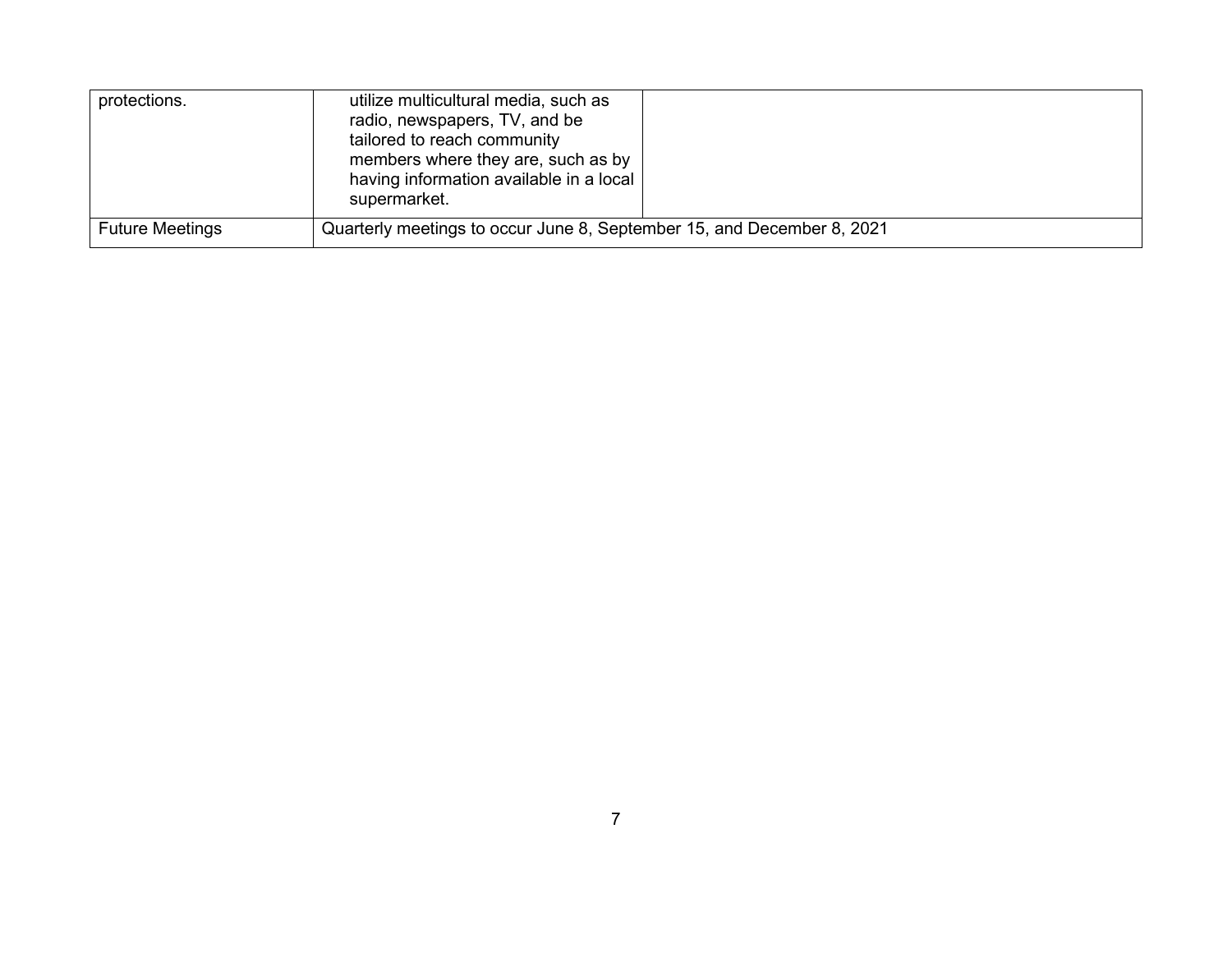| protections.                                                                                     | utilize multicultural media, such as<br>radio, newspapers, TV, and be<br>tailored to reach community<br>members where they are, such as by<br>having information available in a local<br>supermarket. |
|--------------------------------------------------------------------------------------------------|-------------------------------------------------------------------------------------------------------------------------------------------------------------------------------------------------------|
| Quarterly meetings to occur June 8, September 15, and December 8, 2021<br><b>Future Meetings</b> |                                                                                                                                                                                                       |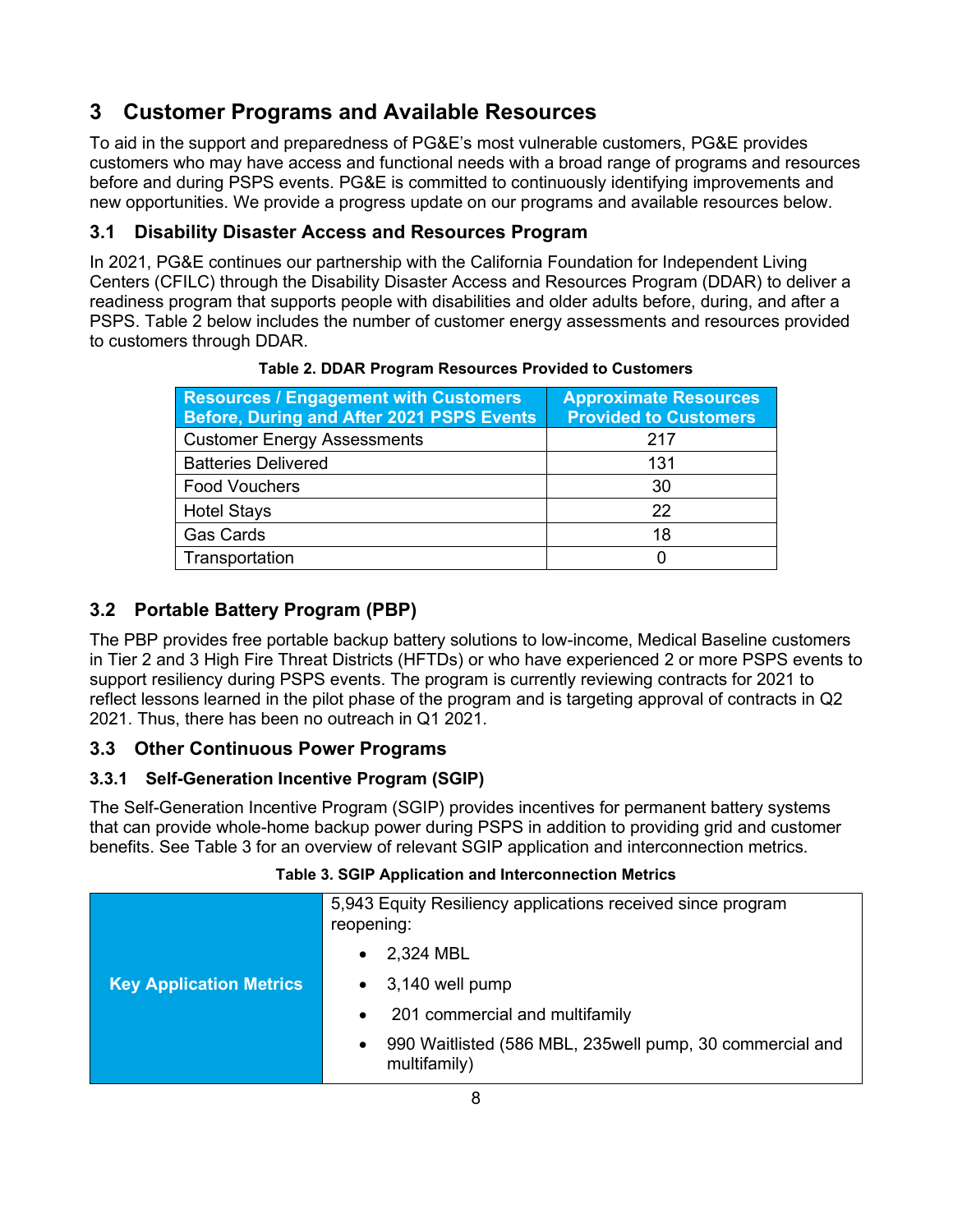# <span id="page-12-0"></span>**3 Customer Programs and Available Resources**

To aid in the support and preparedness of PG&E's most vulnerable customers, PG&E provides customers who may have access and functional needs with a broad range of programs and resources before and during PSPS events. PG&E is committed to continuously identifying improvements and new opportunities. We provide a progress update on our programs and available resources below.

# <span id="page-12-1"></span>**3.1 Disability Disaster Access and Resources Program**

In 2021, PG&E continues our partnership with the California Foundation for Independent Living Centers (CFILC) through the Disability Disaster Access and Resources Program (DDAR) to deliver a readiness program that supports people with disabilities and older adults before, during, and after a PSPS. [Table 2](#page-12-5) [below](#page-12-5) includes the number of customer energy assessments and resources provided to customers through DDAR.

<span id="page-12-5"></span>

| <b>Resources / Engagement with Customers</b><br>Before, During and After 2021 PSPS Events | <b>Approximate Resources</b><br><b>Provided to Customers</b> |  |
|-------------------------------------------------------------------------------------------|--------------------------------------------------------------|--|
| <b>Customer Energy Assessments</b>                                                        | 217                                                          |  |
| <b>Batteries Delivered</b>                                                                | 131                                                          |  |
| <b>Food Vouchers</b>                                                                      | 30                                                           |  |
| <b>Hotel Stays</b>                                                                        | 22                                                           |  |
| <b>Gas Cards</b>                                                                          | 18                                                           |  |
| Transportation                                                                            | 0                                                            |  |

## **Table 2. DDAR Program Resources Provided to Customers**

# <span id="page-12-2"></span>**3.2 Portable Battery Program (PBP)**

The PBP provides free portable backup battery solutions to low-income, Medical Baseline customers in Tier 2 and 3 High Fire Threat Districts (HFTDs) or who have experienced 2 or more PSPS events to support resiliency during PSPS events. The program is currently reviewing contracts for 2021 to reflect lessons learned in the pilot phase of the program and is targeting approval of contracts in Q2 2021. Thus, there has been no outreach in Q1 2021.

# <span id="page-12-3"></span>**3.3 Other Continuous Power Programs**

## <span id="page-12-4"></span>**3.3.1 Self-Generation Incentive Program (SGIP)**

The Self-Generation Incentive Program (SGIP) provides incentives for permanent battery systems that can provide whole-home backup power during PSPS in addition to providing grid and customer benefits. See [Table 3](#page-12-6) for an overview of relevant SGIP application and interconnection metrics.

#### **Table 3. SGIP Application and Interconnection Metrics**

<span id="page-12-6"></span>

|                                | 5,943 Equity Resiliency applications received since program<br>reopening:             |
|--------------------------------|---------------------------------------------------------------------------------------|
|                                | 2,324 MBL<br>$\bullet$                                                                |
| <b>Key Application Metrics</b> | 3,140 well pump<br>$\bullet$                                                          |
|                                | 201 commercial and multifamily<br>$\bullet$                                           |
|                                | 990 Waitlisted (586 MBL, 235well pump, 30 commercial and<br>$\bullet$<br>multifamily) |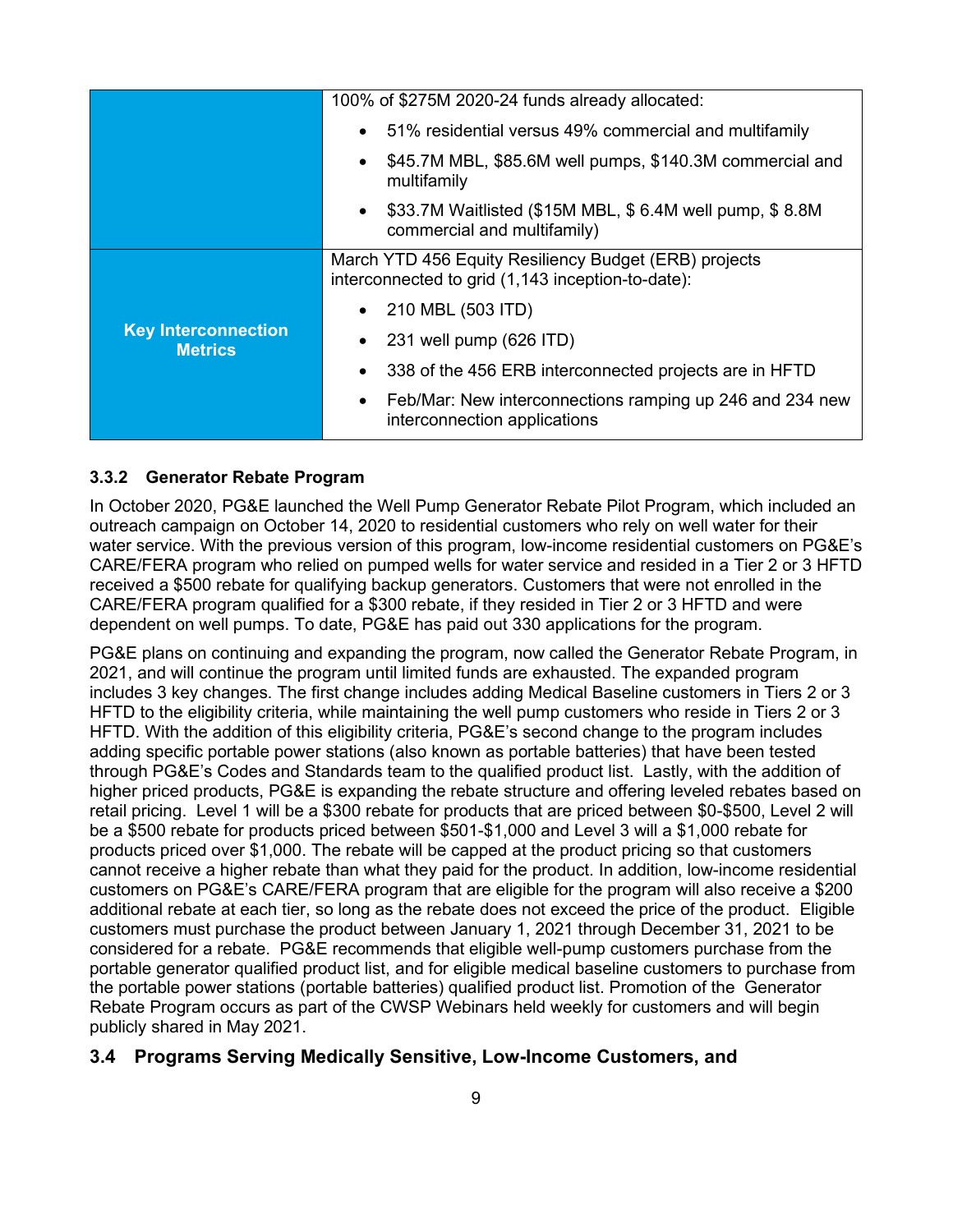|                                              | 100% of \$275M 2020-24 funds already allocated:                                                            |
|----------------------------------------------|------------------------------------------------------------------------------------------------------------|
|                                              | 51% residential versus 49% commercial and multifamily<br>$\bullet$                                         |
|                                              | \$45.7M MBL, \$85.6M well pumps, \$140.3M commercial and<br>multifamily                                    |
|                                              | \$33.7M Waitlisted (\$15M MBL, \$6.4M well pump, \$8.8M)<br>$\bullet$<br>commercial and multifamily)       |
|                                              | March YTD 456 Equity Resiliency Budget (ERB) projects<br>interconnected to grid (1,143 inception-to-date): |
|                                              | 210 MBL (503 ITD)<br>$\bullet$                                                                             |
| <b>Key Interconnection</b><br><b>Metrics</b> | 231 well pump (626 ITD)                                                                                    |
|                                              | 338 of the 456 ERB interconnected projects are in HFTD<br>$\bullet$                                        |
|                                              | Feb/Mar: New interconnections ramping up 246 and 234 new<br>$\bullet$<br>interconnection applications      |

### <span id="page-13-0"></span>**3.3.2 Generator Rebate Program**

In October 2020, PG&E launched the Well Pump Generator Rebate Pilot Program, which included an outreach campaign on October 14, 2020 to residential customers who rely on well water for their water service. With the previous version of this program, low-income residential customers on PG&E's CARE/FERA program who relied on pumped wells for water service and resided in a Tier 2 or 3 HFTD received a \$500 rebate for qualifying backup generators. Customers that were not enrolled in the CARE/FERA program qualified for a \$300 rebate, if they resided in Tier 2 or 3 HFTD and were dependent on well pumps. To date, PG&E has paid out 330 applications for the program.

PG&E plans on continuing and expanding the program, now called the Generator Rebate Program, in 2021, and will continue the program until limited funds are exhausted. The expanded program includes 3 key changes. The first change includes adding Medical Baseline customers in Tiers 2 or 3 HFTD to the eligibility criteria, while maintaining the well pump customers who reside in Tiers 2 or 3 HFTD. With the addition of this eligibility criteria, PG&E's second change to the program includes adding specific portable power stations (also known as portable batteries) that have been tested through PG&E's Codes and Standards team to the qualified product list. Lastly, with the addition of higher priced products, PG&E is expanding the rebate structure and offering leveled rebates based on retail pricing. Level 1 will be a \$300 rebate for products that are priced between \$0-\$500, Level 2 will be a \$500 rebate for products priced between \$501-\$1,000 and Level 3 will a \$1,000 rebate for products priced over \$1,000. The rebate will be capped at the product pricing so that customers cannot receive a higher rebate than what they paid for the product. In addition, low-income residential customers on PG&E's CARE/FERA program that are eligible for the program will also receive a \$200 additional rebate at each tier, so long as the rebate does not exceed the price of the product. Eligible customers must purchase the product between January 1, 2021 through December 31, 2021 to be considered for a rebate. PG&E recommends that eligible well-pump customers purchase from the portable generator qualified product list, and for eligible medical baseline customers to purchase from the portable power stations (portable batteries) qualified product list. Promotion of the Generator Rebate Program occurs as part of the CWSP Webinars held weekly for customers and will begin publicly shared in May 2021.

#### <span id="page-13-1"></span>**3.4 Programs Serving Medically Sensitive, Low-Income Customers, and**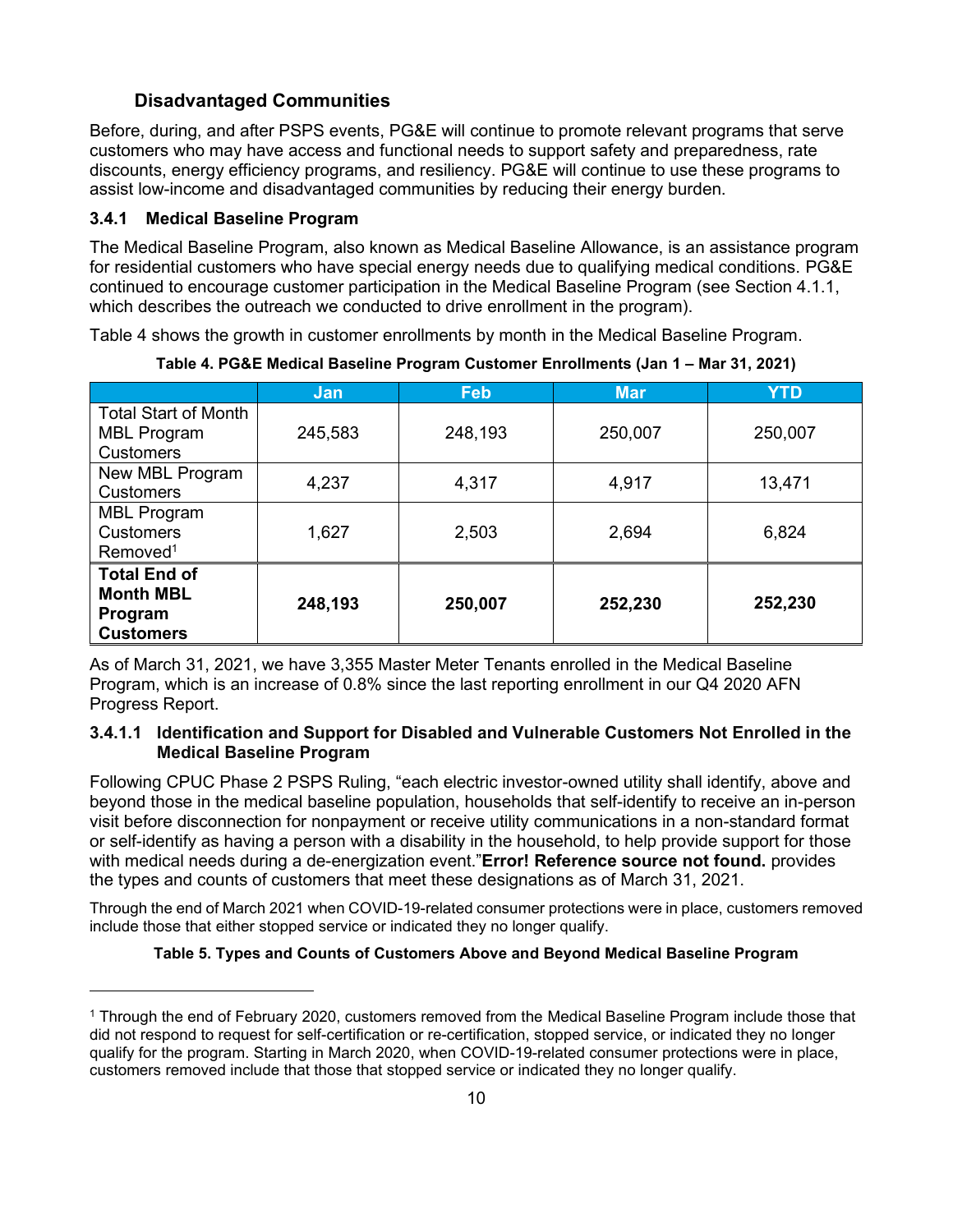# **Disadvantaged Communities**

Before, during, and after PSPS events, PG&E will continue to promote relevant programs that serve customers who may have access and functional needs to support safety and preparedness, rate discounts, energy efficiency programs, and resiliency. PG&E will continue to use these programs to assist low-income and disadvantaged communities by reducing their energy burden.

### <span id="page-14-0"></span>**3.4.1 Medical Baseline Program**

The Medical Baseline Program, also known as Medical Baseline Allowance, is an assistance program for residential customers who have special energy needs due to qualifying medical conditions. PG&E continued to encourage customer participation in the Medical Baseline Program (see Section [4.1.1,](#page-17-4) which describes the outreach we conducted to drive enrollment in the program).

<span id="page-14-1"></span>[Table 4](#page-14-1) shows the growth in customer enrollments by month in the Medical Baseline Program.

|                                                   | Jan     | <b>Feb</b> | <b>Mar</b> | YTD     |
|---------------------------------------------------|---------|------------|------------|---------|
| <b>Total Start of Month</b><br><b>MBL Program</b> | 245,583 | 248,193    | 250,007    | 250,007 |
| <b>Customers</b>                                  |         |            |            |         |
| New MBL Program                                   | 4,237   | 4,317      | 4,917      | 13,471  |
| <b>Customers</b>                                  |         |            |            |         |
| <b>MBL Program</b>                                | 1,627   | 2,503      | 2,694      | 6,824   |
| <b>Customers</b>                                  |         |            |            |         |
| Removed <sup>1</sup>                              |         |            |            |         |
| <b>Total End of</b>                               |         |            |            |         |
| <b>Month MBL</b>                                  |         |            |            | 252,230 |
| Program                                           | 248,193 | 250,007    | 252,230    |         |
| <b>Customers</b>                                  |         |            |            |         |

**Table 4. PG&E Medical Baseline Program Customer Enrollments (Jan 1 – Mar 31, 2021)**

As of March 31, 2021, we have 3,355 Master Meter Tenants enrolled in the Medical Baseline Program, which is an increase of 0.8% since the last reporting enrollment in our Q4 2020 AFN Progress Report.

#### **3.4.1.1 Identification and Support for Disabled and Vulnerable Customers Not Enrolled in the Medical Baseline Program**

Following CPUC Phase 2 PSPS Ruling, "each electric investor-owned utility shall identify, above and beyond those in the medical baseline population, households that self-identify to receive an in-person visit before disconnection for nonpayment or receive utility communications in a non-standard format or self-identify as having a person with a disability in the household, to help provide support for those with medical needs during a de-energization event."**Error! Reference source not found.** provides the types and counts of customers that meet these designations as of March 31, 2021.

<span id="page-14-2"></span>Through the end of March 2021 when COVID-19-related consumer protections were in place, customers removed include those that either stopped service or indicated they no longer qualify.

#### **Table 5. Types and Counts of Customers Above and Beyond Medical Baseline Program**

<sup>1</sup> Through the end of February 2020, customers removed from the Medical Baseline Program include those that did not respond to request for self-certification or re-certification, stopped service, or indicated they no longer qualify for the program. Starting in March 2020, when COVID-19-related consumer protections were in place, customers removed include that those that stopped service or indicated they no longer qualify.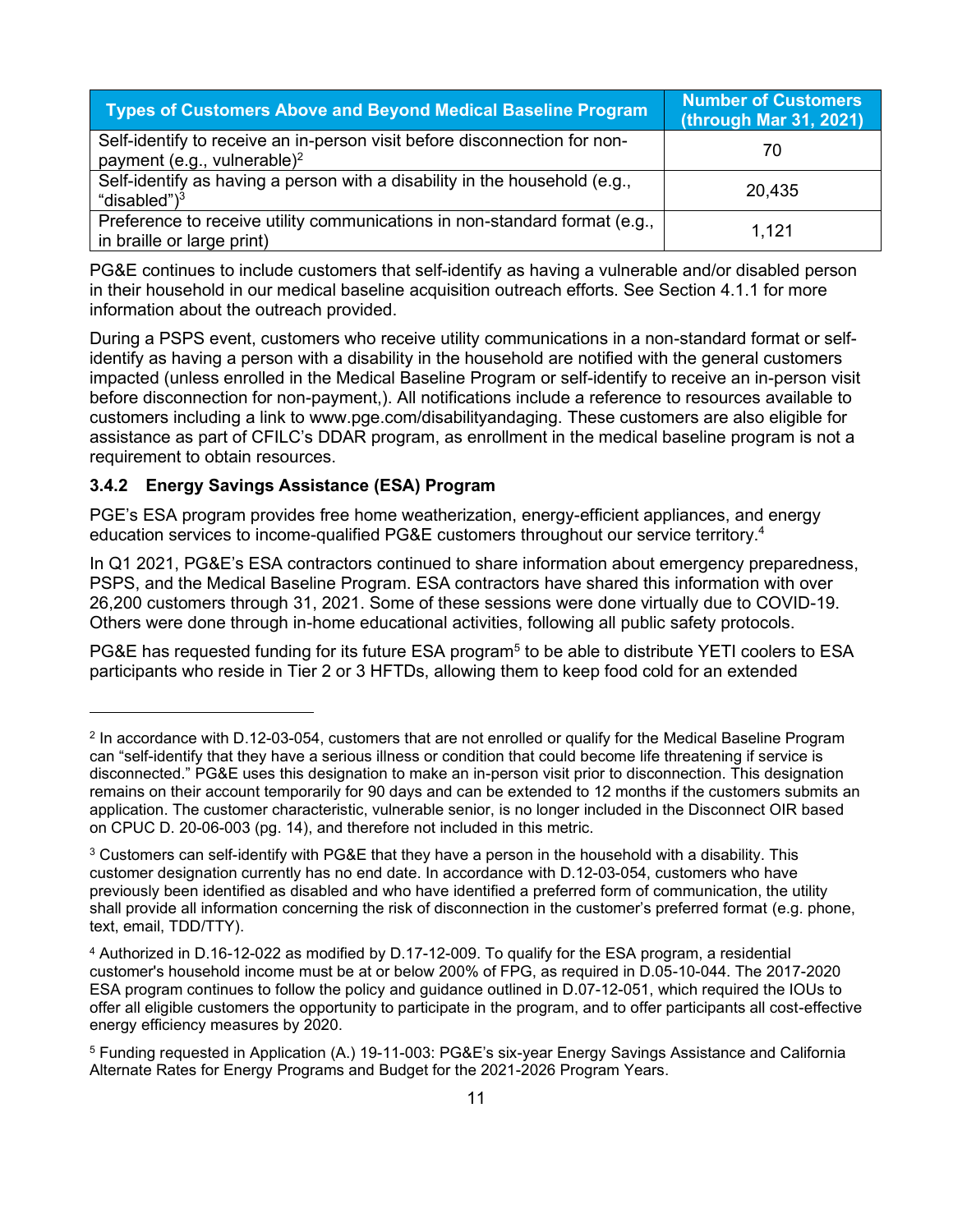| Types of Customers Above and Beyond Medical Baseline Program                                                         | <b>Number of Customers</b><br>(through Mar 31, 2021) |
|----------------------------------------------------------------------------------------------------------------------|------------------------------------------------------|
| Self-identify to receive an in-person visit before disconnection for non-<br>payment (e.g., vulnerable) <sup>2</sup> | 70                                                   |
| Self-identify as having a person with a disability in the household (e.g.,<br>"disabled" $)^3$                       | 20,435                                               |
| Preference to receive utility communications in non-standard format (e.g.,<br>in braille or large print)             | 1.121                                                |

PG&E continues to include customers that self-identify as having a vulnerable and/or disabled person in their household in our medical baseline acquisition outreach efforts. See Section [4.1.1](#page-17-4) for more information about the outreach provided.

During a PSPS event, customers who receive utility communications in a non-standard format or selfidentify as having a person with a disability in the household are notified with the general customers impacted (unless enrolled in the Medical Baseline Program or self-identify to receive an in-person visit before disconnection for non-payment,). All notifications include a reference to resources available to customers including a link to [www.pge.com/disabilityandaging.](http://www.pge.com/disabilityandaging) These customers are also eligible for assistance as part of CFILC's DDAR program, as enrollment in the medical baseline program is not a requirement to obtain resources.

#### <span id="page-15-0"></span>**3.4.2 Energy Savings Assistance (ESA) Program**

PGE's ESA program provides free home weatherization, energy-efficient appliances, and energy education services to income-qualified PG&E customers throughout our service territory.<sup>4</sup>

In Q1 2021, PG&E's ESA contractors continued to share information about emergency preparedness, PSPS, and the Medical Baseline Program. ESA contractors have shared this information with over 26,200 customers through 31, 2021. Some of these sessions were done virtually due to COVID-19. Others were done through in-home educational activities, following all public safety protocols.

PG&E has requested funding for its future ESA program<sup>5</sup> to be able to distribute YETI coolers to ESA participants who reside in Tier 2 or 3 HFTDs, allowing them to keep food cold for an extended

 $^2$  In accordance with D.12-03-054, customers that are not enrolled or qualify for the Medical Baseline Program can "self-identify that they have a serious illness or condition that could become life threatening if service is disconnected." PG&E uses this designation to make an in-person visit prior to disconnection. This designation remains on their account temporarily for 90 days and can be extended to 12 months if the customers submits an application. The customer characteristic, vulnerable senior, is no longer included in the Disconnect OIR based on CPUC D. 20-06-003 (pg. 14), and therefore not included in this metric.

<sup>3</sup> Customers can self-identify with PG&E that they have a person in the household with a disability. This customer designation currently has no end date. In accordance with D.12-03-054, customers who have previously been identified as disabled and who have identified a preferred form of communication, the utility shall provide all information concerning the risk of disconnection in the customer's preferred format (e.g. phone, text, email, TDD/TTY).

<sup>4</sup> Authorized in D.16-12-022 as modified by D.17-12-009. To qualify for the ESA program, a residential customer's household income must be at or below 200% of FPG, as required in D.05-10-044. The 2017-2020 ESA program continues to follow the policy and guidance outlined in D.07-12-051, which required the IOUs to offer all eligible customers the opportunity to participate in the program, and to offer participants all cost-effective energy efficiency measures by 2020.

<sup>5</sup> Funding requested in Application (A.) 19-11-003: PG&E's six-year Energy Savings Assistance and California Alternate Rates for Energy Programs and Budget for the 2021-2026 Program Years.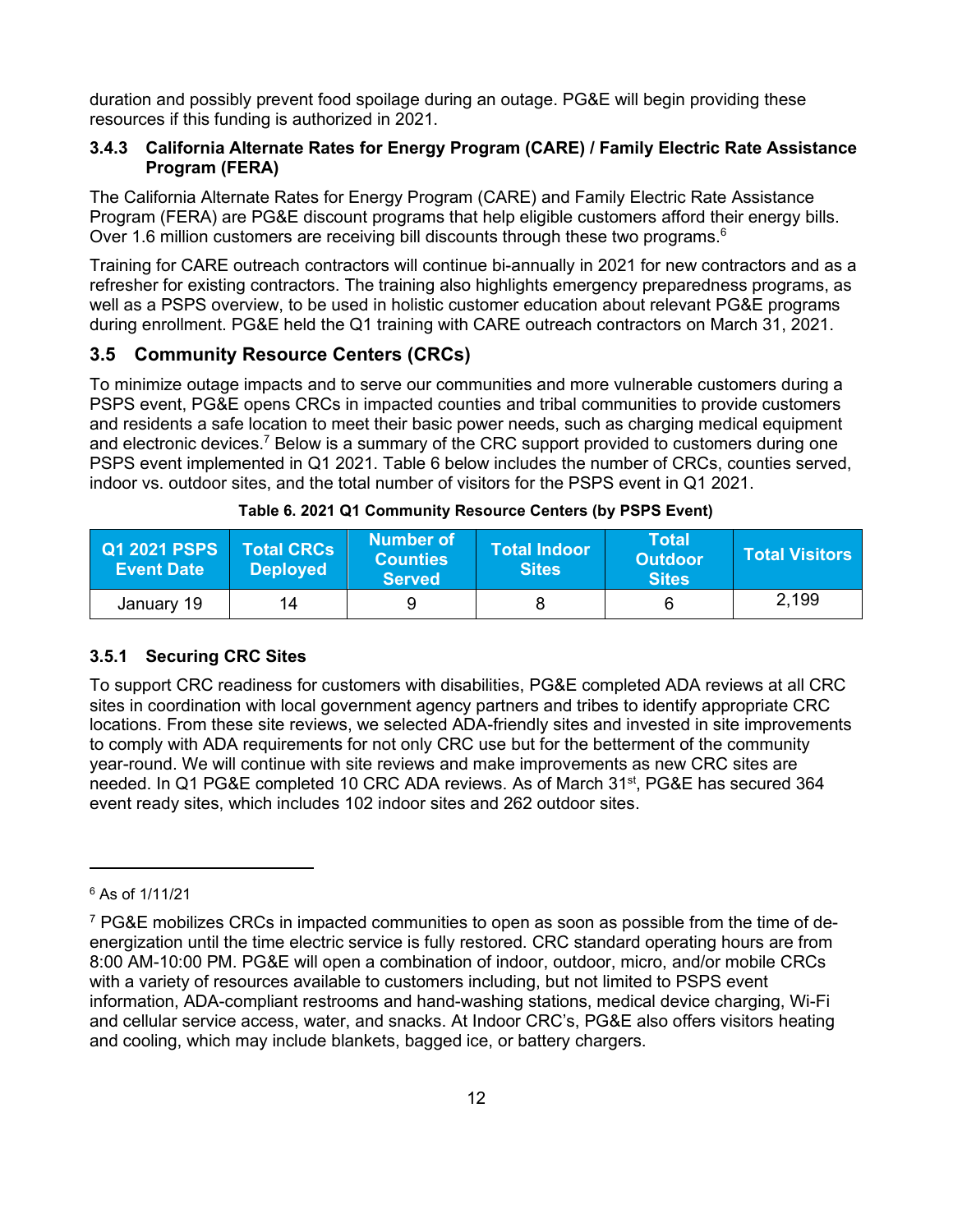duration and possibly prevent food spoilage during an outage. PG&E will begin providing these resources if this funding is authorized in 2021.

#### <span id="page-16-0"></span>**3.4.3 California Alternate Rates for Energy Program (CARE) / Family Electric Rate Assistance Program (FERA)**

The California Alternate Rates for Energy Program (CARE) and Family Electric Rate Assistance Program (FERA) are PG&E discount programs that help eligible customers afford their energy bills. Over 1.6 million customers are receiving bill discounts through these two programs.<sup>6</sup>

Training for CARE outreach contractors will continue bi-annually in 2021 for new contractors and as a refresher for existing contractors. The training also highlights emergency preparedness programs, as well as a PSPS overview, to be used in holistic customer education about relevant PG&E programs during enrollment. PG&E held the Q1 training with CARE outreach contractors on March 31, 2021.

# <span id="page-16-1"></span>**3.5 Community Resource Centers (CRCs)**

To minimize outage impacts and to serve our communities and more vulnerable customers during a PSPS event, PG&E opens CRCs in impacted counties and tribal communities to provide customers and residents a safe location to meet their basic power needs, such as charging medical equipment and electronic devices.<sup>7</sup> Below is a summary of the CRC support provided to customers during one PSPS event implemented in Q1 2021. [Table 6](#page-16-3) [below](#page-16-3) includes the number of CRCs, counties served, indoor vs. outdoor sites, and the total number of visitors for the PSPS event in Q1 2021.

<span id="page-16-3"></span>

| <b>Q1 2021 PSPS</b><br><b>Event Date</b> | <b>Total CRCs</b><br><b>Deployed</b> | <b>Number of</b><br><b>Counties</b><br><b>Served</b> | Total Indoor<br><b>Sites</b> | <b>Total</b><br><b>Outdoor</b><br><b>Sites</b> | ∣ Total Visitors ⊦ |
|------------------------------------------|--------------------------------------|------------------------------------------------------|------------------------------|------------------------------------------------|--------------------|
| January 19                               | 14                                   |                                                      |                              | 6                                              | 2,199              |

|  |  |  | Table 6. 2021 Q1 Community Resource Centers (by PSPS Event) |  |
|--|--|--|-------------------------------------------------------------|--|
|  |  |  |                                                             |  |

## <span id="page-16-2"></span>**3.5.1 Securing CRC Sites**

To support CRC readiness for customers with disabilities, PG&E completed ADA reviews at all CRC sites in coordination with local government agency partners and tribes to identify appropriate CRC locations. From these site reviews, we selected ADA-friendly sites and invested in site improvements to comply with ADA requirements for not only CRC use but for the betterment of the community year-round. We will continue with site reviews and make improvements as new CRC sites are needed. In Q1 PG&E completed 10 CRC ADA reviews. As of March 31<sup>st</sup>, PG&E has secured 364 event ready sites, which includes 102 indoor sites and 262 outdoor sites.

<sup>6</sup> As of 1/11/21

 $7$  PG&E mobilizes CRCs in impacted communities to open as soon as possible from the time of deenergization until the time electric service is fully restored. CRC standard operating hours are from 8:00 AM-10:00 PM. PG&E will open a combination of indoor, outdoor, micro, and/or mobile CRCs with a variety of resources available to customers including, but not limited to PSPS event information, ADA-compliant restrooms and hand-washing stations, medical device charging, Wi-Fi and cellular service access, water, and snacks. At Indoor CRC's, PG&E also offers visitors heating and cooling, which may include blankets, bagged ice, or battery chargers.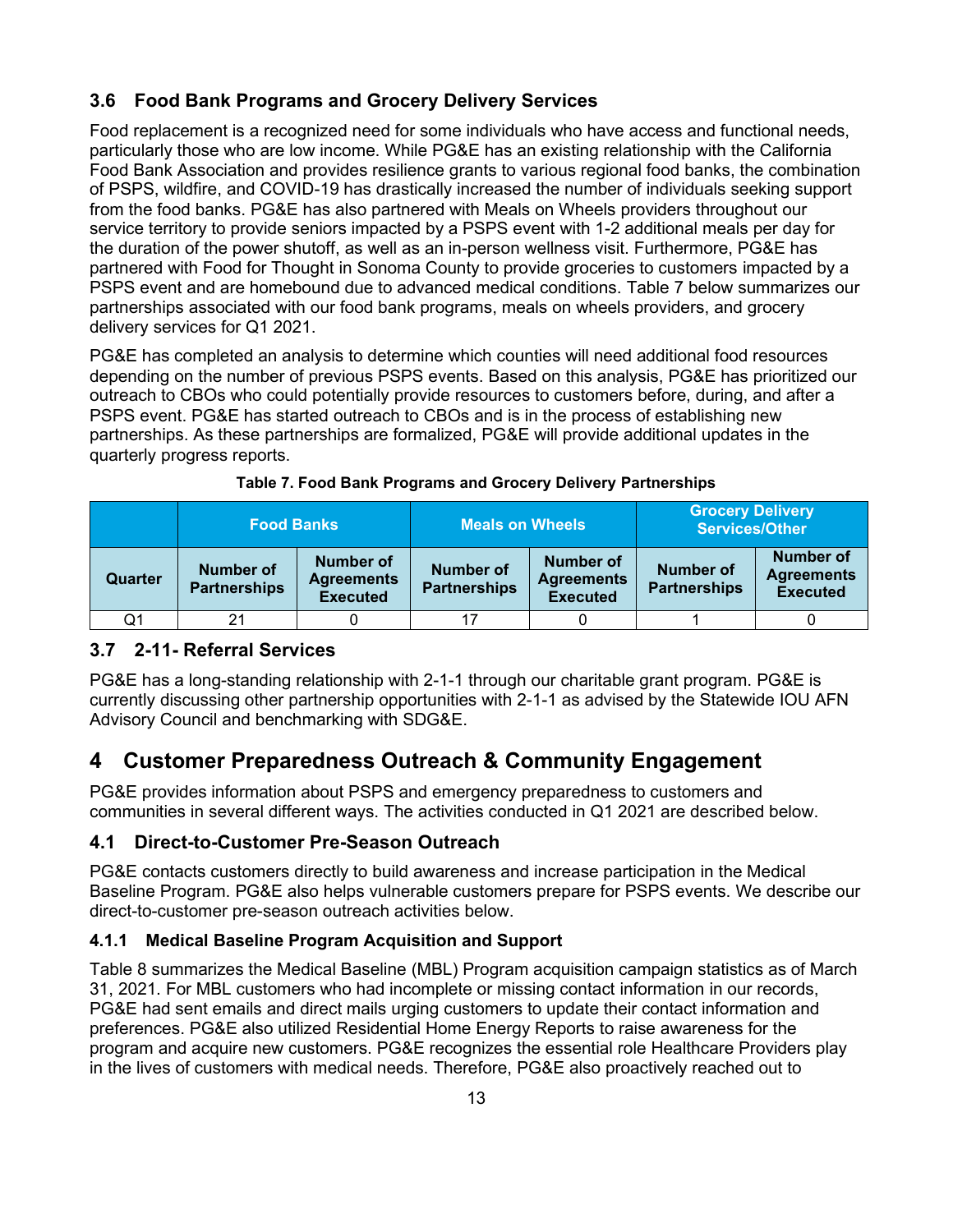# <span id="page-17-0"></span>**3.6 Food Bank Programs and Grocery Delivery Services**

Food replacement is a recognized need for some individuals who have access and functional needs, particularly those who are low income. While PG&E has an existing relationship with the California Food Bank Association and provides resilience grants to various regional food banks, the combination of PSPS, wildfire, and COVID-19 has drastically increased the number of individuals seeking support from the food banks. PG&E has also partnered with Meals on Wheels providers throughout our service territory to provide seniors impacted by a PSPS event with 1-2 additional meals per day for the duration of the power shutoff, as well as an in-person wellness visit. Furthermore, PG&E has partnered with Food for Thought in Sonoma County to provide groceries to customers impacted by a PSPS event and are homebound due to advanced medical conditions. [Table 7](#page-17-5) below summarizes our partnerships associated with our food bank programs, meals on wheels providers, and grocery delivery services for Q1 2021.

PG&E has completed an analysis to determine which counties will need additional food resources depending on the number of previous PSPS events. Based on this analysis, PG&E has prioritized our outreach to CBOs who could potentially provide resources to customers before, during, and after a PSPS event. PG&E has started outreach to CBOs and is in the process of establishing new partnerships. As these partnerships are formalized, PG&E will provide additional updates in the quarterly progress reports.

<span id="page-17-5"></span>

|         | <b>Food Banks</b>                       |                                                   | <b>Meals on Wheels</b>                  |                                                   | <b>Grocery Delivery</b><br><b>Services/Other</b> |                                                          |
|---------|-----------------------------------------|---------------------------------------------------|-----------------------------------------|---------------------------------------------------|--------------------------------------------------|----------------------------------------------------------|
| Quarter | <b>Number of</b><br><b>Partnerships</b> | Number of<br><b>Agreements</b><br><b>Executed</b> | <b>Number of</b><br><b>Partnerships</b> | Number of<br><b>Agreements</b><br><b>Executed</b> | Number of<br><b>Partnerships</b>                 | <b>Number of</b><br><b>Agreements</b><br><b>Executed</b> |
| Q1      | 21                                      |                                                   | -17                                     |                                                   |                                                  |                                                          |

|  |  | Table 7. Food Bank Programs and Grocery Delivery Partnerships |  |
|--|--|---------------------------------------------------------------|--|
|  |  |                                                               |  |

# <span id="page-17-1"></span>**3.7 2-11- Referral Services**

PG&E has a long-standing relationship with 2-1-1 through our charitable grant program. PG&E is currently discussing other partnership opportunities with 2-1-1 as advised by the Statewide IOU AFN Advisory Council and benchmarking with SDG&E.

# <span id="page-17-2"></span>**4 Customer Preparedness Outreach & Community Engagement**

PG&E provides information about PSPS and emergency preparedness to customers and communities in several different ways. The activities conducted in Q1 2021 are described below.

## <span id="page-17-3"></span>**4.1 Direct-to-Customer Pre-Season Outreach**

PG&E contacts customers directly to build awareness and increase participation in the Medical Baseline Program. PG&E also helps vulnerable customers prepare for PSPS events. We describe our direct-to-customer pre-season outreach activities below.

## <span id="page-17-4"></span>**4.1.1 Medical Baseline Program Acquisition and Support**

[Table 8](#page-18-1) summarizes the Medical Baseline (MBL) Program acquisition campaign statistics as of March 31, 2021. For MBL customers who had incomplete or missing contact information in our records, PG&E had sent emails and direct mails urging customers to update their contact information and preferences. PG&E also utilized Residential Home Energy Reports to raise awareness for the program and acquire new customers. PG&E recognizes the essential role Healthcare Providers play in the lives of customers with medical needs. Therefore, PG&E also proactively reached out to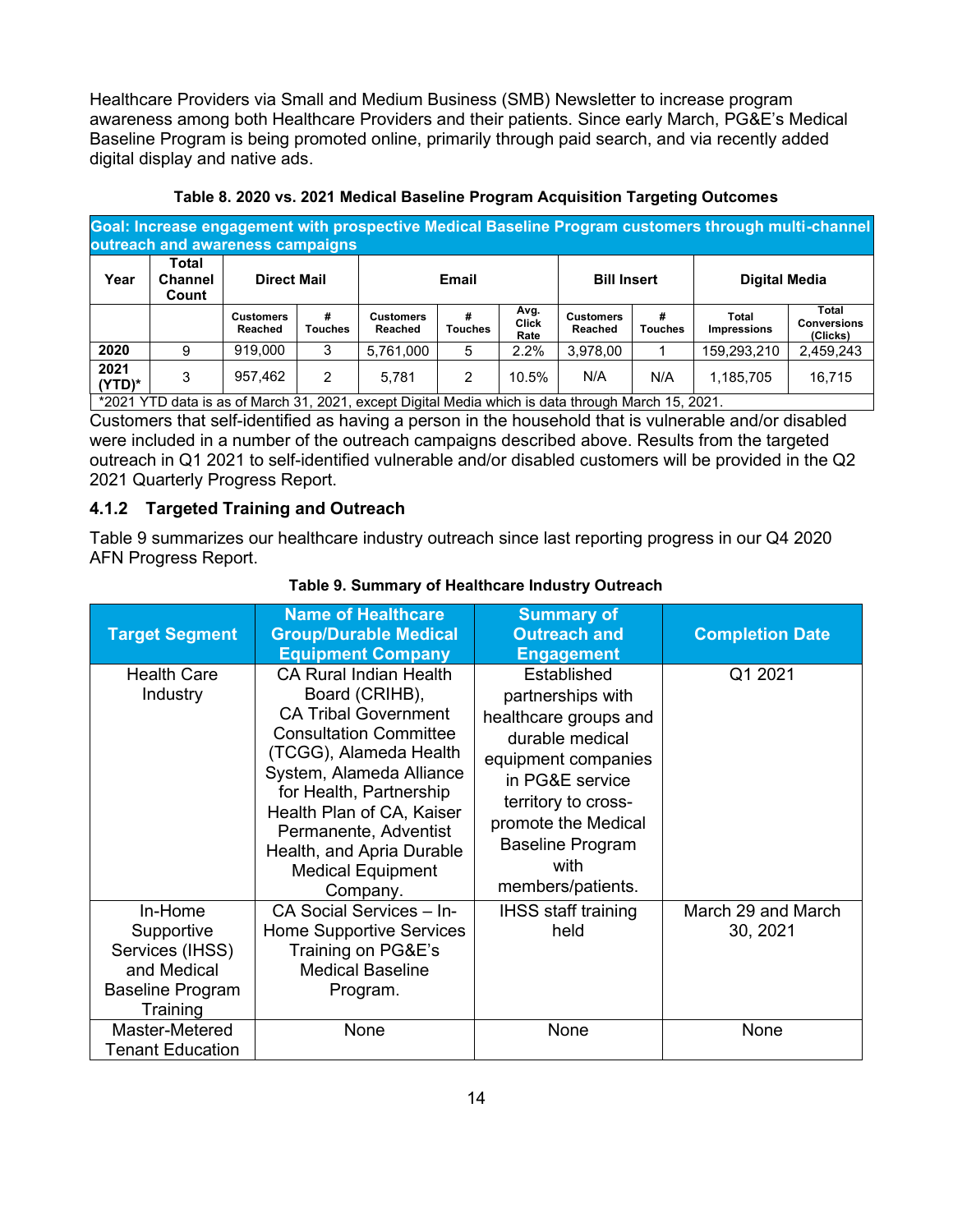Healthcare Providers via Small and Medium Business (SMB) Newsletter to increase program awareness among both Healthcare Providers and their patients. Since early March, PG&E's Medical Baseline Program is being promoted online, primarily through paid search, and via recently added digital display and native ads.

<span id="page-18-1"></span>

| Goal: Increase engagement with prospective Medical Baseline Program customers through multi-channel<br>outreach and awareness campaigns |                                  |                             |                     |                             |                     |                              |                             |                     |                             |                                         |
|-----------------------------------------------------------------------------------------------------------------------------------------|----------------------------------|-----------------------------|---------------------|-----------------------------|---------------------|------------------------------|-----------------------------|---------------------|-----------------------------|-----------------------------------------|
| Year                                                                                                                                    | Total<br><b>Channel</b><br>Count | <b>Direct Mail</b>          |                     |                             | Email               |                              | <b>Bill Insert</b>          |                     | <b>Digital Media</b>        |                                         |
|                                                                                                                                         |                                  | <b>Customers</b><br>Reached | #<br><b>Touches</b> | <b>Customers</b><br>Reached | #<br><b>Touches</b> | Avg.<br><b>Click</b><br>Rate | <b>Customers</b><br>Reached | #<br><b>Touches</b> | Total<br><b>Impressions</b> | Total<br><b>Conversions</b><br>(Clicks) |
| 2020                                                                                                                                    |                                  | 919.000                     | 3                   | 5,761,000                   | 5                   | 2.2%                         | 3,978,00                    |                     | 159,293,210                 | 2,459,243                               |
| 2021<br>$(YTD)^*$                                                                                                                       | 3                                | 957,462                     | 2                   | 5.781                       | 2                   | 10.5%                        | N/A                         | N/A                 | 1,185,705                   | 16.715                                  |

**Table 8. 2020 vs. 2021 Medical Baseline Program Acquisition Targeting Outcomes**

\*2021 YTD data is as of March 31, 2021, except Digital Media which is data through March 15, 2021.

Customers that self-identified as having a person in the household that is vulnerable and/or disabled were included in a number of the outreach campaigns described above. Results from the targeted outreach in Q1 2021 to self-identified vulnerable and/or disabled customers will be provided in the Q2 2021 Quarterly Progress Report.

#### <span id="page-18-0"></span>**4.1.2 Targeted Training and Outreach**

[Table 9](#page-18-2) summarizes our healthcare industry outreach since last reporting progress in our Q4 2020 AFN Progress Report.

<span id="page-18-2"></span>

|                                                                                         | <b>Name of Healthcare</b>                                                                                                                                                                                                                                                                                                   | <b>Summary of</b>                                                                                                                                                                                                            |                                |
|-----------------------------------------------------------------------------------------|-----------------------------------------------------------------------------------------------------------------------------------------------------------------------------------------------------------------------------------------------------------------------------------------------------------------------------|------------------------------------------------------------------------------------------------------------------------------------------------------------------------------------------------------------------------------|--------------------------------|
| <b>Target Segment</b>                                                                   | <b>Group/Durable Medical</b>                                                                                                                                                                                                                                                                                                | <b>Outreach and</b>                                                                                                                                                                                                          | <b>Completion Date</b>         |
|                                                                                         | <b>Equipment Company</b>                                                                                                                                                                                                                                                                                                    | <b>Engagement</b>                                                                                                                                                                                                            |                                |
| <b>Health Care</b><br>Industry                                                          | <b>CA Rural Indian Health</b><br>Board (CRIHB),<br><b>CA Tribal Government</b><br><b>Consultation Committee</b><br>(TCGG), Alameda Health<br>System, Alameda Alliance<br>for Health, Partnership<br>Health Plan of CA, Kaiser<br>Permanente, Adventist<br>Health, and Apria Durable<br><b>Medical Equipment</b><br>Company. | Established<br>partnerships with<br>healthcare groups and<br>durable medical<br>equipment companies<br>in PG&E service<br>territory to cross-<br>promote the Medical<br><b>Baseline Program</b><br>with<br>members/patients. | Q1 2021                        |
| In-Home<br>Supportive<br>Services (IHSS)<br>and Medical<br>Baseline Program<br>Training | CA Social Services - In-<br><b>Home Supportive Services</b><br>Training on PG&E's<br><b>Medical Baseline</b><br>Program.                                                                                                                                                                                                    | <b>IHSS staff training</b><br>held                                                                                                                                                                                           | March 29 and March<br>30, 2021 |
| Master-Metered<br><b>Tenant Education</b>                                               | None                                                                                                                                                                                                                                                                                                                        | None                                                                                                                                                                                                                         | None                           |

#### **Table 9. Summary of Healthcare Industry Outreach**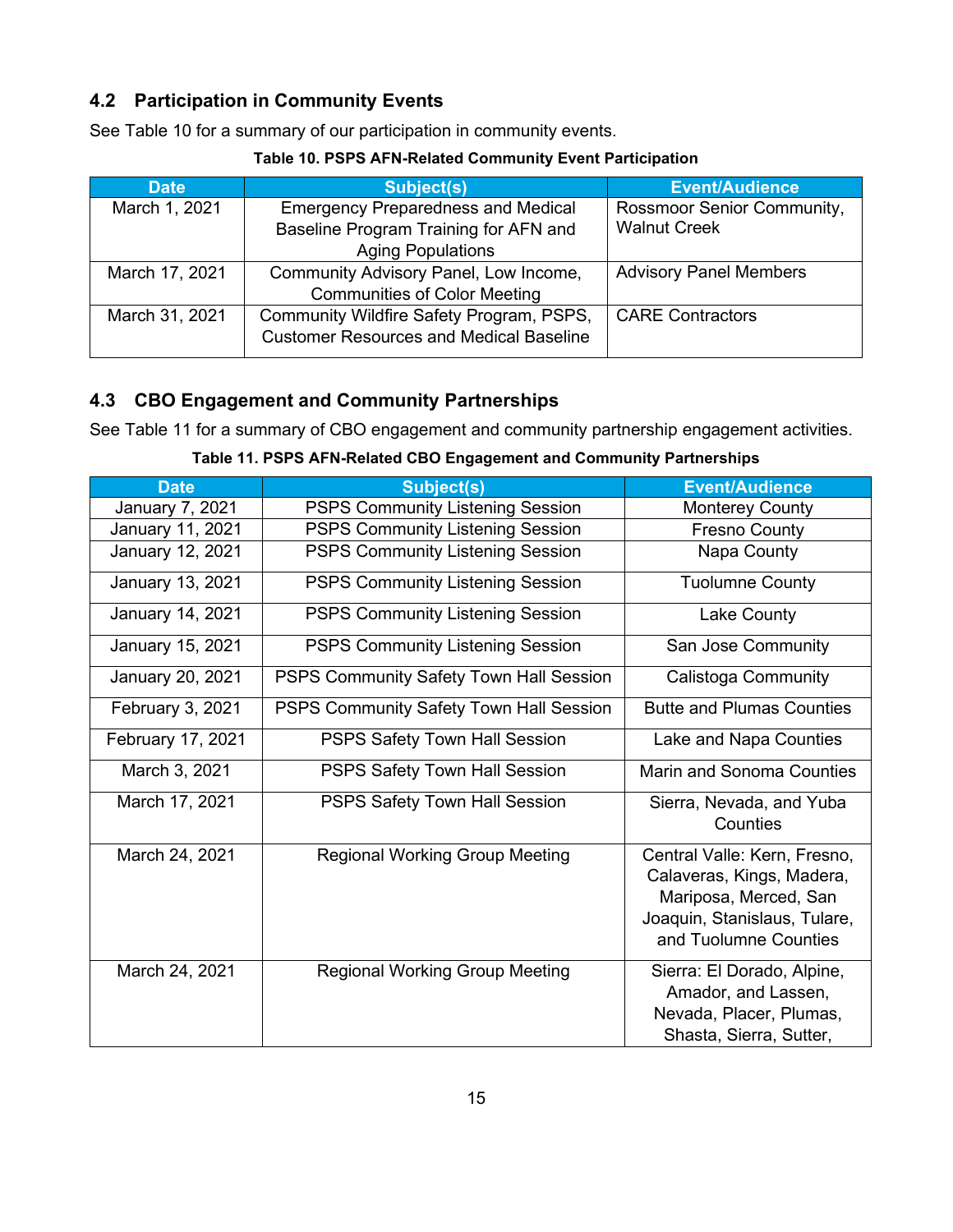# <span id="page-19-0"></span>**4.2 Participation in Community Events**

See [Table 10](#page-19-2) for a summary of our participation in community events.

<span id="page-19-2"></span>

| <b>Date</b>    | Subject(s)                                     | <b>Event/Audience</b>             |
|----------------|------------------------------------------------|-----------------------------------|
| March 1, 2021  | <b>Emergency Preparedness and Medical</b>      | <b>Rossmoor Senior Community,</b> |
|                | Baseline Program Training for AFN and          | <b>Walnut Creek</b>               |
|                | <b>Aging Populations</b>                       |                                   |
| March 17, 2021 | Community Advisory Panel, Low Income,          | <b>Advisory Panel Members</b>     |
|                | <b>Communities of Color Meeting</b>            |                                   |
| March 31, 2021 | Community Wildfire Safety Program, PSPS,       | <b>CARE Contractors</b>           |
|                | <b>Customer Resources and Medical Baseline</b> |                                   |

### **Table 10. PSPS AFN-Related Community Event Participation**

# <span id="page-19-1"></span>**4.3 CBO Engagement and Community Partnerships**

See [Table 11](#page-19-3) for a summary of CBO engagement and community partnership engagement activities.

**Table 11. PSPS AFN-Related CBO Engagement and Community Partnerships**

<span id="page-19-3"></span>

| <b>Date</b>       | <b>Subject(s)</b>                              | <b>Event/Audience</b>                                                                                                                       |
|-------------------|------------------------------------------------|---------------------------------------------------------------------------------------------------------------------------------------------|
| January 7, 2021   | <b>PSPS Community Listening Session</b>        | <b>Monterey County</b>                                                                                                                      |
| January 11, 2021  | <b>PSPS Community Listening Session</b>        | <b>Fresno County</b>                                                                                                                        |
| January 12, 2021  | <b>PSPS Community Listening Session</b>        | Napa County                                                                                                                                 |
| January 13, 2021  | <b>PSPS Community Listening Session</b>        | <b>Tuolumne County</b>                                                                                                                      |
| January 14, 2021  | <b>PSPS Community Listening Session</b>        | Lake County                                                                                                                                 |
| January 15, 2021  | <b>PSPS Community Listening Session</b>        | San Jose Community                                                                                                                          |
| January 20, 2021  | <b>PSPS Community Safety Town Hall Session</b> | <b>Calistoga Community</b>                                                                                                                  |
| February 3, 2021  | PSPS Community Safety Town Hall Session        | <b>Butte and Plumas Counties</b>                                                                                                            |
| February 17, 2021 | PSPS Safety Town Hall Session                  | Lake and Napa Counties                                                                                                                      |
| March 3, 2021     | PSPS Safety Town Hall Session                  | <b>Marin and Sonoma Counties</b>                                                                                                            |
| March 17, 2021    | PSPS Safety Town Hall Session                  | Sierra, Nevada, and Yuba<br>Counties                                                                                                        |
| March 24, 2021    | <b>Regional Working Group Meeting</b>          | Central Valle: Kern, Fresno,<br>Calaveras, Kings, Madera,<br>Mariposa, Merced, San<br>Joaquin, Stanislaus, Tulare,<br>and Tuolumne Counties |
| March 24, 2021    | <b>Regional Working Group Meeting</b>          | Sierra: El Dorado, Alpine,<br>Amador, and Lassen,<br>Nevada, Placer, Plumas,<br>Shasta, Sierra, Sutter,                                     |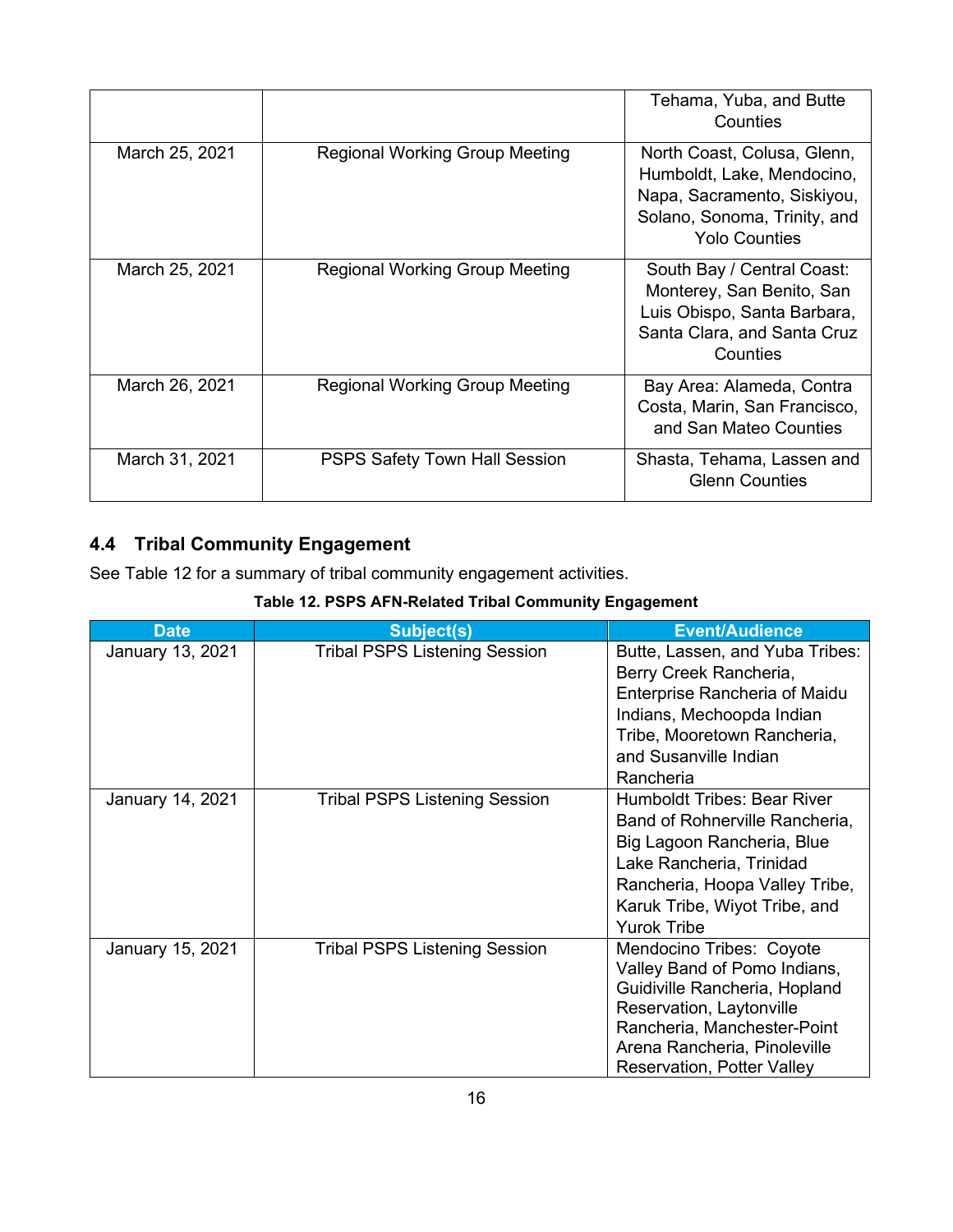|                |                                       | Tehama, Yuba, and Butte<br>Counties                                                                                                              |
|----------------|---------------------------------------|--------------------------------------------------------------------------------------------------------------------------------------------------|
| March 25, 2021 | <b>Regional Working Group Meeting</b> | North Coast, Colusa, Glenn,<br>Humboldt, Lake, Mendocino,<br>Napa, Sacramento, Siskiyou,<br>Solano, Sonoma, Trinity, and<br><b>Yolo Counties</b> |
| March 25, 2021 | <b>Regional Working Group Meeting</b> | South Bay / Central Coast:<br>Monterey, San Benito, San<br>Luis Obispo, Santa Barbara,<br>Santa Clara, and Santa Cruz<br>Counties                |
| March 26, 2021 | <b>Regional Working Group Meeting</b> | Bay Area: Alameda, Contra<br>Costa, Marin, San Francisco,<br>and San Mateo Counties                                                              |
| March 31, 2021 | <b>PSPS Safety Town Hall Session</b>  | Shasta, Tehama, Lassen and<br><b>Glenn Counties</b>                                                                                              |

# <span id="page-20-0"></span>**4.4 Tribal Community Engagement**

See [Table 12](#page-20-1) for a summary of tribal community engagement activities.

# **Table 12. PSPS AFN-Related Tribal Community Engagement**

<span id="page-20-1"></span>

| <b>Date</b>      | <b>Subject(s)</b>                    | <b>Event/Audience</b>                                                                                                                                                                                                     |
|------------------|--------------------------------------|---------------------------------------------------------------------------------------------------------------------------------------------------------------------------------------------------------------------------|
| January 13, 2021 | <b>Tribal PSPS Listening Session</b> | Butte, Lassen, and Yuba Tribes:<br>Berry Creek Rancheria,<br><b>Enterprise Rancheria of Maidu</b><br>Indians, Mechoopda Indian<br>Tribe, Mooretown Rancheria,<br>and Susanville Indian<br>Rancheria                       |
| January 14, 2021 | <b>Tribal PSPS Listening Session</b> | Humboldt Tribes: Bear River<br>Band of Rohnerville Rancheria,<br>Big Lagoon Rancheria, Blue<br>Lake Rancheria, Trinidad<br>Rancheria, Hoopa Valley Tribe,<br>Karuk Tribe, Wiyot Tribe, and<br><b>Yurok Tribe</b>          |
| January 15, 2021 | <b>Tribal PSPS Listening Session</b> | Mendocino Tribes: Coyote<br>Valley Band of Pomo Indians,<br>Guidiville Rancheria, Hopland<br>Reservation, Laytonville<br>Rancheria, Manchester-Point<br>Arena Rancheria, Pinoleville<br><b>Reservation, Potter Valley</b> |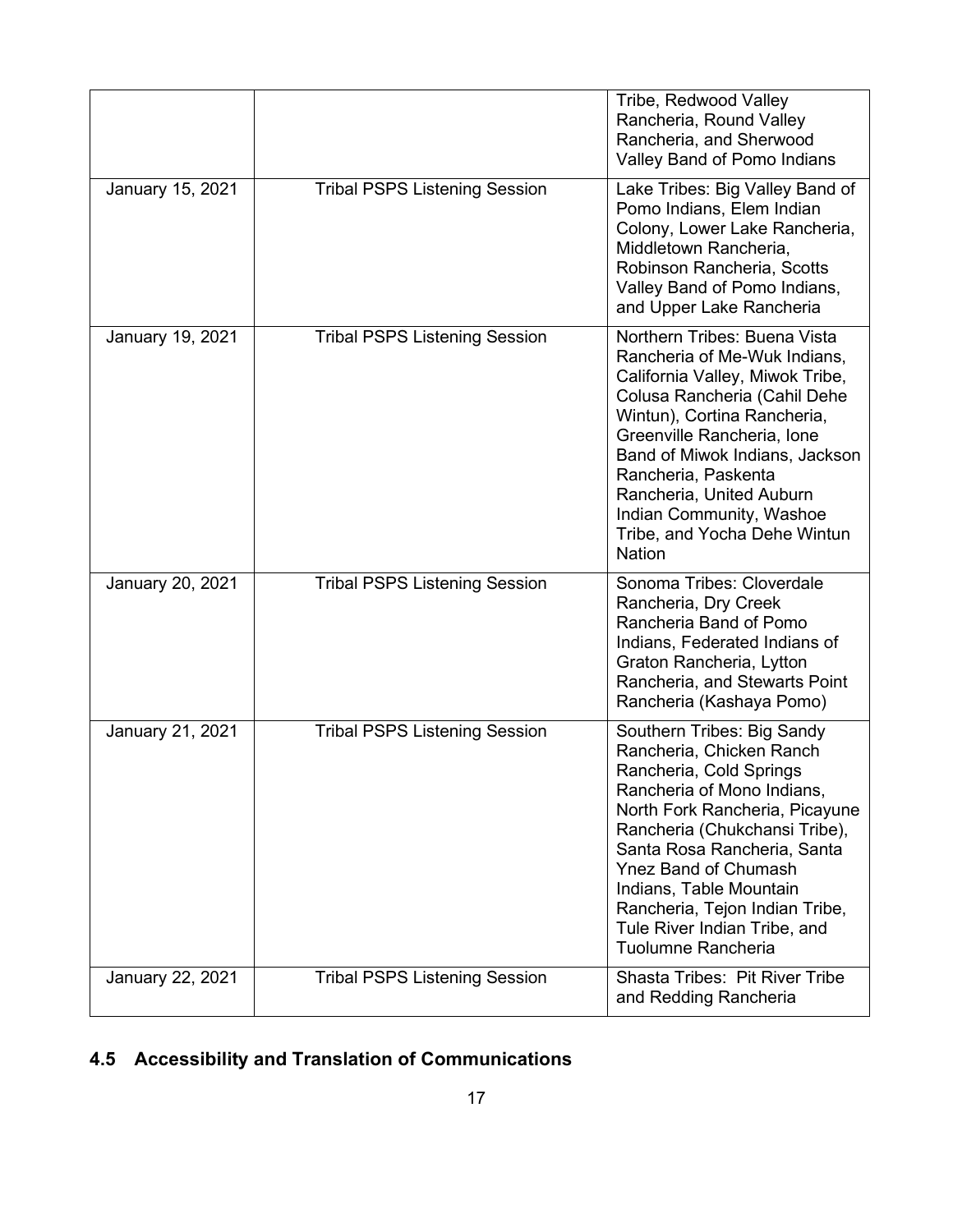|                  |                                      | Tribe, Redwood Valley<br>Rancheria, Round Valley<br>Rancheria, and Sherwood<br>Valley Band of Pomo Indians                                                                                                                                                                                                                                                          |
|------------------|--------------------------------------|---------------------------------------------------------------------------------------------------------------------------------------------------------------------------------------------------------------------------------------------------------------------------------------------------------------------------------------------------------------------|
| January 15, 2021 | <b>Tribal PSPS Listening Session</b> | Lake Tribes: Big Valley Band of<br>Pomo Indians, Elem Indian<br>Colony, Lower Lake Rancheria,<br>Middletown Rancheria,<br>Robinson Rancheria, Scotts<br>Valley Band of Pomo Indians,<br>and Upper Lake Rancheria                                                                                                                                                    |
| January 19, 2021 | <b>Tribal PSPS Listening Session</b> | Northern Tribes: Buena Vista<br>Rancheria of Me-Wuk Indians,<br>California Valley, Miwok Tribe,<br>Colusa Rancheria (Cahil Dehe<br>Wintun), Cortina Rancheria,<br>Greenville Rancheria, Ione<br>Band of Miwok Indians, Jackson<br>Rancheria, Paskenta<br>Rancheria, United Auburn<br>Indian Community, Washoe<br>Tribe, and Yocha Dehe Wintun<br><b>Nation</b>      |
| January 20, 2021 | <b>Tribal PSPS Listening Session</b> | Sonoma Tribes: Cloverdale<br>Rancheria, Dry Creek<br>Rancheria Band of Pomo<br>Indians, Federated Indians of<br>Graton Rancheria, Lytton<br>Rancheria, and Stewarts Point<br>Rancheria (Kashaya Pomo)                                                                                                                                                               |
| January 21, 2021 | <b>Tribal PSPS Listening Session</b> | Southern Tribes: Big Sandy<br>Rancheria, Chicken Ranch<br>Rancheria, Cold Springs<br>Rancheria of Mono Indians,<br>North Fork Rancheria, Picayune<br>Rancheria (Chukchansi Tribe),<br>Santa Rosa Rancheria, Santa<br><b>Ynez Band of Chumash</b><br>Indians, Table Mountain<br>Rancheria, Tejon Indian Tribe,<br>Tule River Indian Tribe, and<br>Tuolumne Rancheria |
| January 22, 2021 | <b>Tribal PSPS Listening Session</b> | <b>Shasta Tribes: Pit River Tribe</b><br>and Redding Rancheria                                                                                                                                                                                                                                                                                                      |

# <span id="page-21-0"></span>**4.5 Accessibility and Translation of Communications**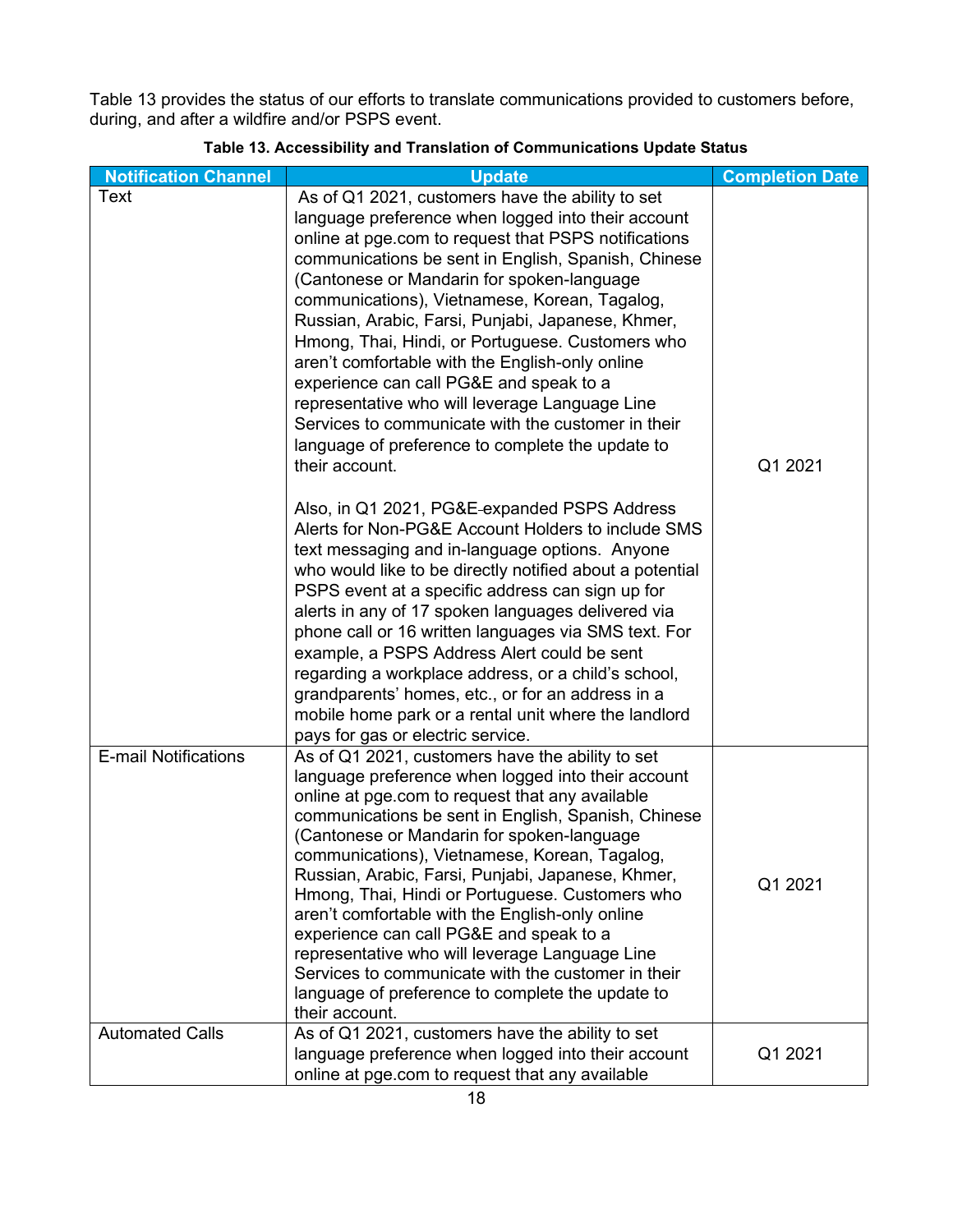[Table 13](#page-22-0) provides the status of our efforts to translate communications provided to customers before, during, and after a wildfire and/or PSPS event.

<span id="page-22-0"></span>

| <b>Notification Channel</b> | <b>Update</b>                                                                                                                                                                                                                                                                                                                                                                                                                                                                                                                                                                                                                                                                                             | <b>Completion Date</b> |
|-----------------------------|-----------------------------------------------------------------------------------------------------------------------------------------------------------------------------------------------------------------------------------------------------------------------------------------------------------------------------------------------------------------------------------------------------------------------------------------------------------------------------------------------------------------------------------------------------------------------------------------------------------------------------------------------------------------------------------------------------------|------------------------|
| <b>Text</b>                 | As of Q1 2021, customers have the ability to set<br>language preference when logged into their account<br>online at pge.com to request that PSPS notifications<br>communications be sent in English, Spanish, Chinese<br>(Cantonese or Mandarin for spoken-language<br>communications), Vietnamese, Korean, Tagalog,<br>Russian, Arabic, Farsi, Punjabi, Japanese, Khmer,<br>Hmong, Thai, Hindi, or Portuguese. Customers who<br>aren't comfortable with the English-only online<br>experience can call PG&E and speak to a<br>representative who will leverage Language Line<br>Services to communicate with the customer in their<br>language of preference to complete the update to<br>their account. | Q1 2021                |
|                             | Also, in Q1 2021, PG&E-expanded PSPS Address<br>Alerts for Non-PG&E Account Holders to include SMS<br>text messaging and in-language options. Anyone<br>who would like to be directly notified about a potential<br>PSPS event at a specific address can sign up for<br>alerts in any of 17 spoken languages delivered via<br>phone call or 16 written languages via SMS text. For<br>example, a PSPS Address Alert could be sent<br>regarding a workplace address, or a child's school,<br>grandparents' homes, etc., or for an address in a<br>mobile home park or a rental unit where the landlord<br>pays for gas or electric service.                                                                |                        |
| <b>E-mail Notifications</b> | As of Q1 2021, customers have the ability to set<br>language preference when logged into their account<br>online at pge.com to request that any available<br>communications be sent in English, Spanish, Chinese<br>(Cantonese or Mandarin for spoken-language<br>communications), Vietnamese, Korean, Tagalog,<br>Russian, Arabic, Farsi, Punjabi, Japanese, Khmer,<br>Hmong, Thai, Hindi or Portuguese. Customers who<br>aren't comfortable with the English-only online<br>experience can call PG&E and speak to a<br>representative who will leverage Language Line<br>Services to communicate with the customer in their<br>language of preference to complete the update to<br>their account.       | Q1 2021                |
| <b>Automated Calls</b>      | As of Q1 2021, customers have the ability to set<br>language preference when logged into their account<br>online at pge.com to request that any available                                                                                                                                                                                                                                                                                                                                                                                                                                                                                                                                                 | Q1 2021                |

### **Table 13. Accessibility and Translation of Communications Update Status**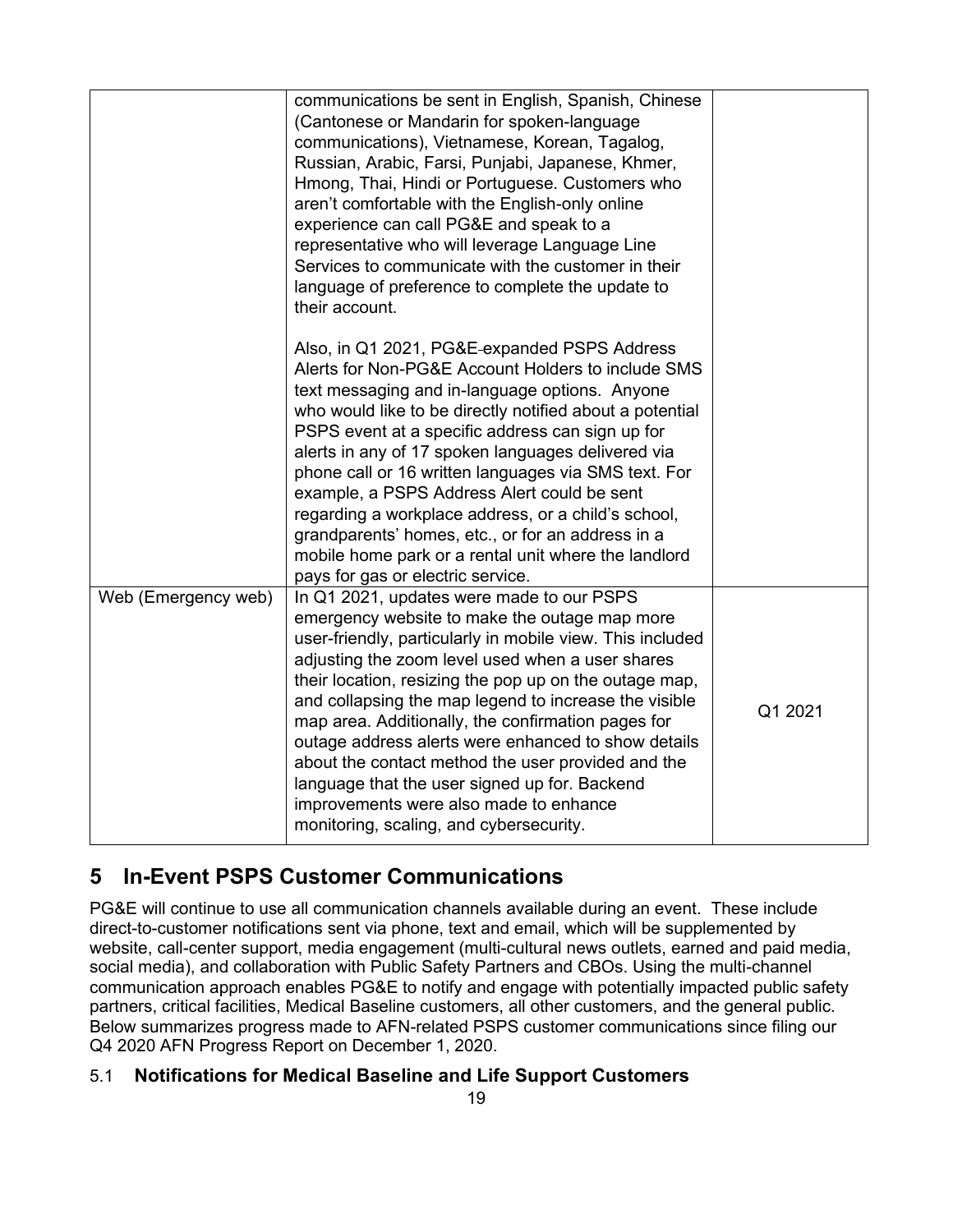|                     | communications be sent in English, Spanish, Chinese<br>(Cantonese or Mandarin for spoken-language<br>communications), Vietnamese, Korean, Tagalog,<br>Russian, Arabic, Farsi, Punjabi, Japanese, Khmer,<br>Hmong, Thai, Hindi or Portuguese. Customers who<br>aren't comfortable with the English-only online<br>experience can call PG&E and speak to a<br>representative who will leverage Language Line<br>Services to communicate with the customer in their<br>language of preference to complete the update to<br>their account.                                                                                                     |         |
|---------------------|--------------------------------------------------------------------------------------------------------------------------------------------------------------------------------------------------------------------------------------------------------------------------------------------------------------------------------------------------------------------------------------------------------------------------------------------------------------------------------------------------------------------------------------------------------------------------------------------------------------------------------------------|---------|
|                     | Also, in Q1 2021, PG&E-expanded PSPS Address<br>Alerts for Non-PG&E Account Holders to include SMS<br>text messaging and in-language options. Anyone<br>who would like to be directly notified about a potential<br>PSPS event at a specific address can sign up for<br>alerts in any of 17 spoken languages delivered via<br>phone call or 16 written languages via SMS text. For<br>example, a PSPS Address Alert could be sent<br>regarding a workplace address, or a child's school,<br>grandparents' homes, etc., or for an address in a<br>mobile home park or a rental unit where the landlord<br>pays for gas or electric service. |         |
| Web (Emergency web) | In Q1 2021, updates were made to our PSPS<br>emergency website to make the outage map more<br>user-friendly, particularly in mobile view. This included<br>adjusting the zoom level used when a user shares<br>their location, resizing the pop up on the outage map,<br>and collapsing the map legend to increase the visible<br>map area. Additionally, the confirmation pages for<br>outage address alerts were enhanced to show details<br>about the contact method the user provided and the<br>language that the user signed up for. Backend<br>improvements were also made to enhance<br>monitoring, scaling, and cybersecurity.    | Q1 2021 |

# <span id="page-23-0"></span>**5 In-Event PSPS Customer Communications**

PG&E will continue to use all communication channels available during an event. These include direct-to-customer notifications sent via phone, text and email, which will be supplemented by website, call-center support, media engagement (multi-cultural news outlets, earned and paid media, social media), and collaboration with Public Safety Partners and CBOs. Using the multi-channel communication approach enables PG&E to notify and engage with potentially impacted public safety partners, critical facilities, Medical Baseline customers, all other customers, and the general public. Below summarizes progress made to AFN-related PSPS customer communications since filing our Q4 2020 AFN Progress Report on December 1, 2020.

# <span id="page-23-1"></span>5.1 **Notifications for Medical Baseline and Life Support Customer[s](#page-24-5)**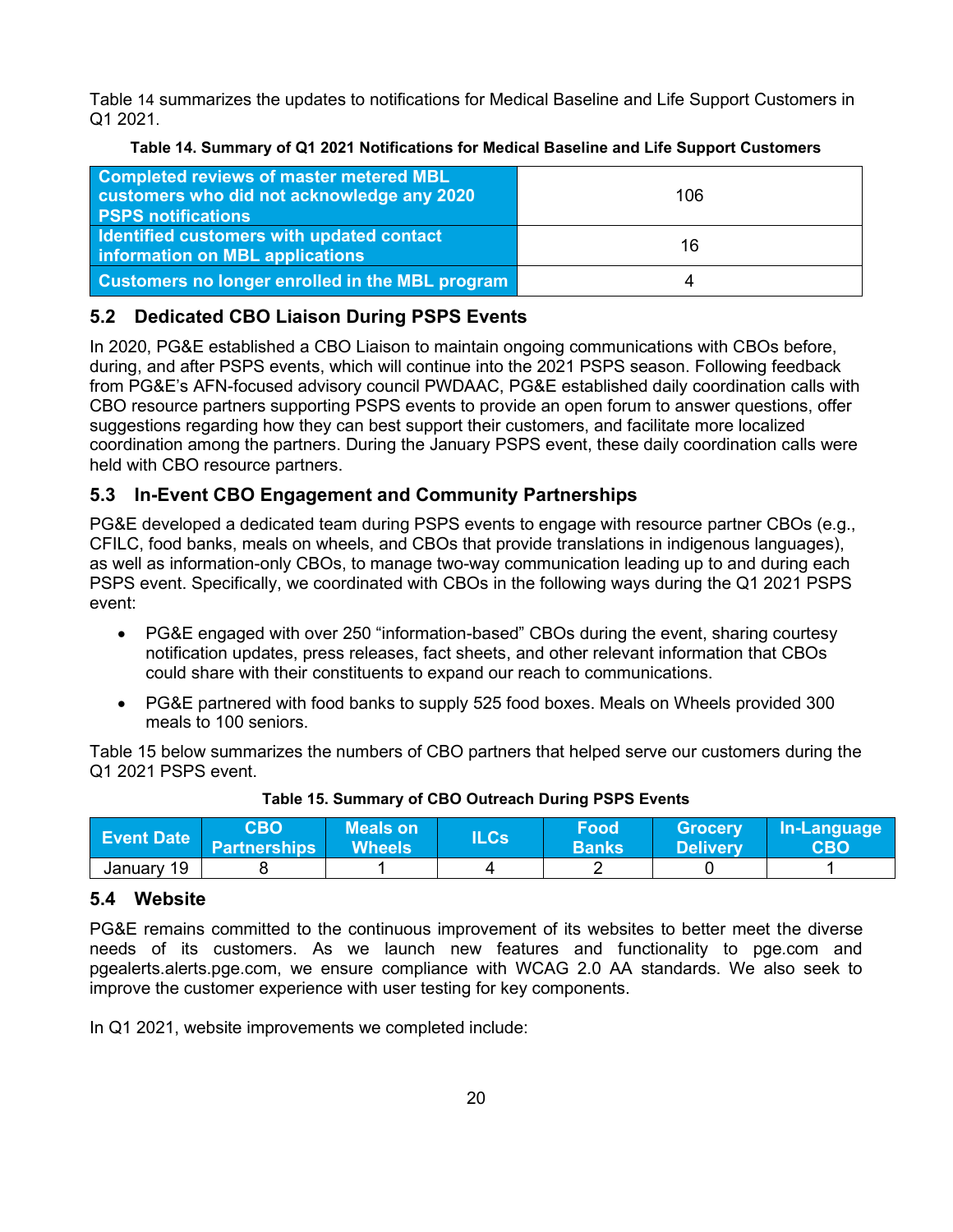[Table](#page-24-5) 14 summarizes the updates to notifications for Medical Baseline and Life Support Customers in Q1 2021.

<span id="page-24-5"></span>

| Table 14. Summary of Q1 2021 Notifications for Medical Baseline and Life Support Customers |  |  |  |
|--------------------------------------------------------------------------------------------|--|--|--|
|                                                                                            |  |  |  |

<span id="page-24-3"></span>

| <b>Completed reviews of master metered MBL</b><br>customers who did not acknowledge any 2020<br><b>PSPS notifications</b> | 106 |
|---------------------------------------------------------------------------------------------------------------------------|-----|
| Identified customers with updated contact<br>information on MBL applications                                              | 16  |
| <b>Customers no longer enrolled in the MBL program</b>                                                                    | 4   |

# <span id="page-24-0"></span>**5.2 Dedicated CBO Liaison During PSPS Events**

In 2020, PG&E established a CBO Liaison to maintain ongoing communications with CBOs before, during, and after PSPS events, which will continue into the 2021 PSPS season. Following feedback from PG&E's AFN-focused advisory council PWDAAC, PG&E established daily coordination calls with CBO resource partners supporting PSPS events to provide an open forum to answer questions, offer suggestions regarding how they can best support their customers, and facilitate more localized coordination among the partners. During the January PSPS event, these daily coordination calls were held with CBO resource partners.

# <span id="page-24-1"></span>**5.3 In-Event CBO Engagement and Community Partnerships**

PG&E developed a dedicated team during PSPS events to engage with resource partner CBOs (e.g., CFILC, food banks, meals on wheels, and CBOs that provide translations in indigenous languages), as well as information-only CBOs, to manage two-way communication leading up to and during each PSPS event. Specifically, we coordinated with CBOs in the following ways during the Q1 2021 PSPS event:

- PG&E engaged with over 250 "information-based" CBOs during the event, sharing courtesy notification updates, press releases, fact sheets, and other relevant information that CBOs could share with their constituents to expand our reach to communications.
- PG&E partnered with food banks to supply 525 food boxes. Meals on Wheels provided 300 meals to 100 seniors.

[Table 15](#page-24-4) [below](#page-24-4) summarizes the numbers of CBO partners that helped serve our customers during the Q1 2021 PSPS event.

<span id="page-24-4"></span>

| <b>Event Date</b> | <b>CBO</b><br><b>Partnerships</b> | <b>Meals on</b><br><b>Wheels</b> | $\mathsf{ILCs}^\dagger$ | <b>Food</b><br><b>Banks</b> | <b>Grocery</b><br><b>Delivery</b> | In-Language<br>CBO |
|-------------------|-----------------------------------|----------------------------------|-------------------------|-----------------------------|-----------------------------------|--------------------|
| January 19        |                                   |                                  |                         |                             |                                   |                    |

#### **Table 15. Summary of CBO Outreach During PSPS Events**

# <span id="page-24-2"></span>**5.4 Website**

PG&E remains committed to the continuous improvement of its websites to better meet the diverse needs of its customers. As we launch new features and functionality to pge.com and pgealerts.alerts.pge.com, we ensure compliance with WCAG 2.0 AA standards. We also seek to improve the customer experience with user testing for key components.

In Q1 2021, website improvements we completed include: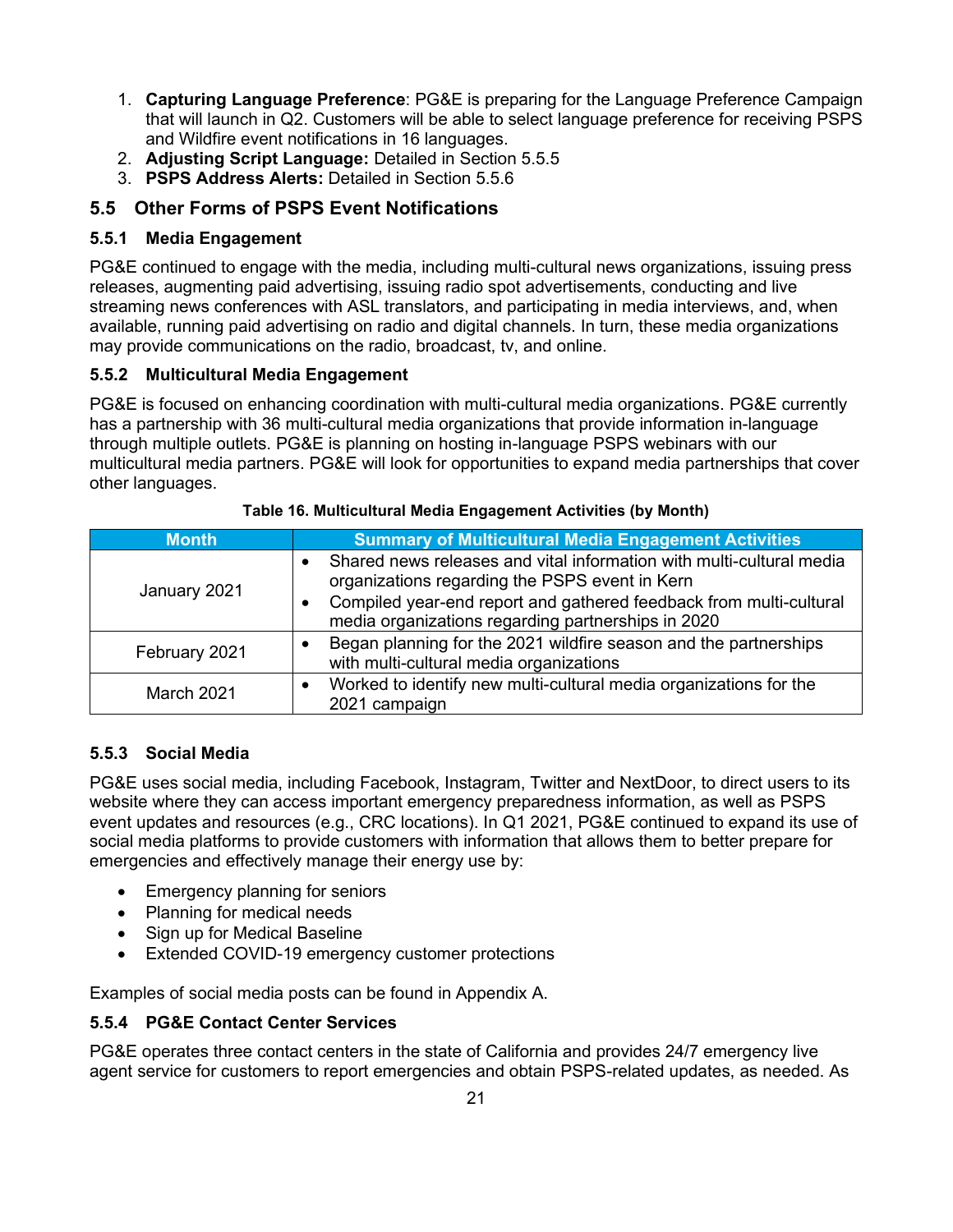- 1. **Capturing Language Preference**: PG&E is preparing for the Language Preference Campaign that will launch in Q2. Customers will be able to select language preference for receiving PSPS and Wildfire event notifications in 16 languages.
- 2. **Adjusting Script Language:** Detailed in Section 5.5.5
- 3. **PSPS Address Alerts:** Detailed in Section 5.5.6

## <span id="page-25-0"></span>**5.5 Other Forms of PSPS Event Notifications**

### <span id="page-25-1"></span>**5.5.1 Media Engagement**

PG&E continued to engage with the media, including multi-cultural news organizations, issuing press releases, augmenting paid advertising, issuing radio spot advertisements, conducting and live streaming news conferences with ASL translators, and participating in media interviews, and, when available, running paid advertising on radio and digital channels. In turn, these media organizations may provide communications on the radio, broadcast, tv, and online.

### <span id="page-25-2"></span>**5.5.2 Multicultural Media Engagement**

PG&E is focused on enhancing coordination with multi-cultural media organizations. PG&E currently has a partnership with 36 multi-cultural media organizations that provide information in-language through multiple outlets. PG&E is planning on hosting in-language PSPS webinars with our multicultural media partners. PG&E will look for opportunities to expand media partnerships that cover other languages.

<span id="page-25-5"></span>

| <b>Month</b>  | <b>Summary of Multicultural Media Engagement Activities</b>                                                              |  |  |  |
|---------------|--------------------------------------------------------------------------------------------------------------------------|--|--|--|
| January 2021  | Shared news releases and vital information with multi-cultural media<br>organizations regarding the PSPS event in Kern   |  |  |  |
|               | Compiled year-end report and gathered feedback from multi-cultural<br>media organizations regarding partnerships in 2020 |  |  |  |
| February 2021 | Began planning for the 2021 wildfire season and the partnerships<br>with multi-cultural media organizations              |  |  |  |
| March 2021    | Worked to identify new multi-cultural media organizations for the<br>2021 campaign                                       |  |  |  |

| Table 16. Multicultural Media Engagement Activities (by Month) |
|----------------------------------------------------------------|
|----------------------------------------------------------------|

## <span id="page-25-3"></span>**5.5.3 Social Media**

PG&E uses social media, including Facebook, Instagram, Twitter and NextDoor, to direct users to its website where they can access important emergency preparedness information, as well as PSPS event updates and resources (e.g., CRC locations). In Q1 2021, PG&E continued to expand its use of social media platforms to provide customers with information that allows them to better prepare for emergencies and effectively manage their energy use by:

- Emergency planning for seniors
- Planning for medical needs
- Sign up for Medical Baseline
- Extended COVID-19 emergency customer protections

Examples of social media posts can be found in Appendix A.

## <span id="page-25-4"></span>**5.5.4 PG&E Contact Center Services**

PG&E operates three contact centers in the state of California and provides 24/7 emergency live agent service for customers to report emergencies and obtain PSPS-related updates, as needed. As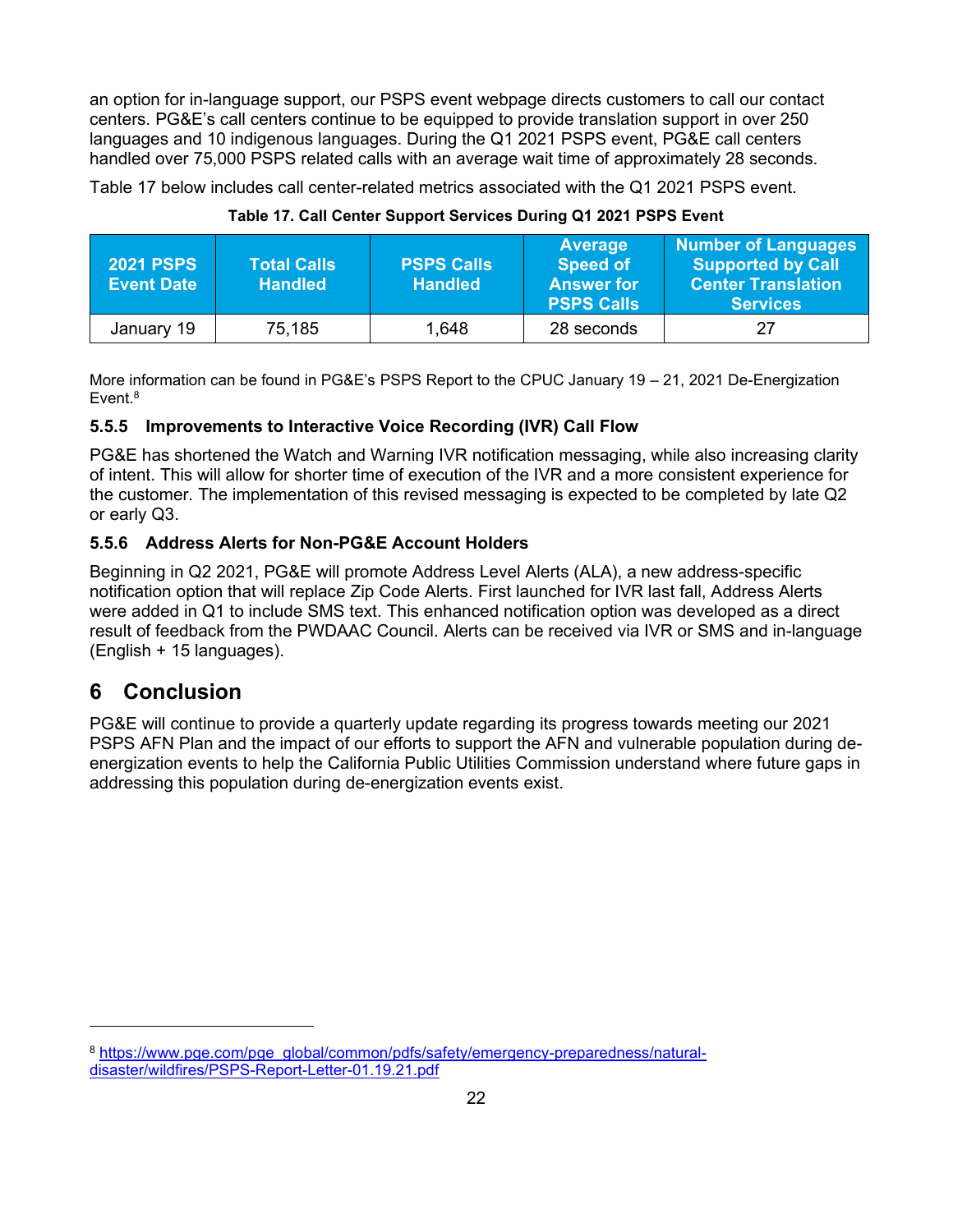an option for in-language support, our PSPS event webpage directs customers to call our contact centers. PG&E's call centers continue to be equipped to provide translation support in over 250 languages and 10 indigenous languages. During the Q1 2021 PSPS event, PG&E call centers handled over 75,000 PSPS related calls with an average wait time of approximately 28 seconds.

[Table 17](#page-26-3) [below](#page-26-3) includes call center-related metrics associated with the Q1 2021 PSPS event.

<span id="page-26-3"></span>

| <b>2021 PSPS</b><br><b>Event Date</b> | <b>Total Calls</b><br><b>Handled</b> | <b>PSPS Calls</b><br><b>Handled</b> | <b>Average</b><br><b>Speed of</b><br><b>Answer for</b><br><b>PSPS Calls</b> | Number of Languages<br><b>Supported by Call</b><br><b>Center Translation</b><br><b>Services</b> |
|---------------------------------------|--------------------------------------|-------------------------------------|-----------------------------------------------------------------------------|-------------------------------------------------------------------------------------------------|
| January 19                            | 75,185                               | 1,648                               | 28 seconds                                                                  | 27                                                                                              |

**Table 17. Call Center Support Services During Q1 2021 PSPS Event**

More information can be found in PG&E's PSPS Report to the CPUC January 19 – 21, 2021 De-Energization Event.<sup>8</sup>

### <span id="page-26-0"></span>**5.5.5 Improvements to Interactive Voice Recording (IVR) Call Flow**

PG&E has shortened the Watch and Warning IVR notification messaging, while also increasing clarity of intent. This will allow for shorter time of execution of the IVR and a more consistent experience for the customer. The implementation of this revised messaging is expected to be completed by late Q2 or early Q3.

## <span id="page-26-1"></span>**5.5.6 Address Alerts for Non-PG&E Account Holders**

Beginning in Q2 2021, PG&E will promote Address Level Alerts (ALA), a new address-specific notification option that will replace Zip Code Alerts. First launched for IVR last fall, Address Alerts were added in Q1 to include SMS text. This enhanced notification option was developed as a direct result of feedback from the PWDAAC Council. Alerts can be received via IVR or SMS and in-language (English + 15 languages).

# <span id="page-26-2"></span>**6 Conclusion**

PG&E will continue to provide a quarterly update regarding its progress towards meeting our 2021 PSPS AFN Plan and the impact of our efforts to support the AFN and vulnerable population during deenergization events to help the California Public Utilities Commission understand where future gaps in addressing this population during de-energization events exist.

<sup>8</sup> [https://www.pge.com/pge\\_global/common/pdfs/safety/emergency-preparedness/natural](https://www.pge.com/pge_global/common/pdfs/safety/emergency-preparedness/natural-disaster/wildfires/PSPS-Report-Letter-01.19.21.pdf)[disaster/wildfires/PSPS-Report-Letter-01.19.21.pdf](https://www.pge.com/pge_global/common/pdfs/safety/emergency-preparedness/natural-disaster/wildfires/PSPS-Report-Letter-01.19.21.pdf)